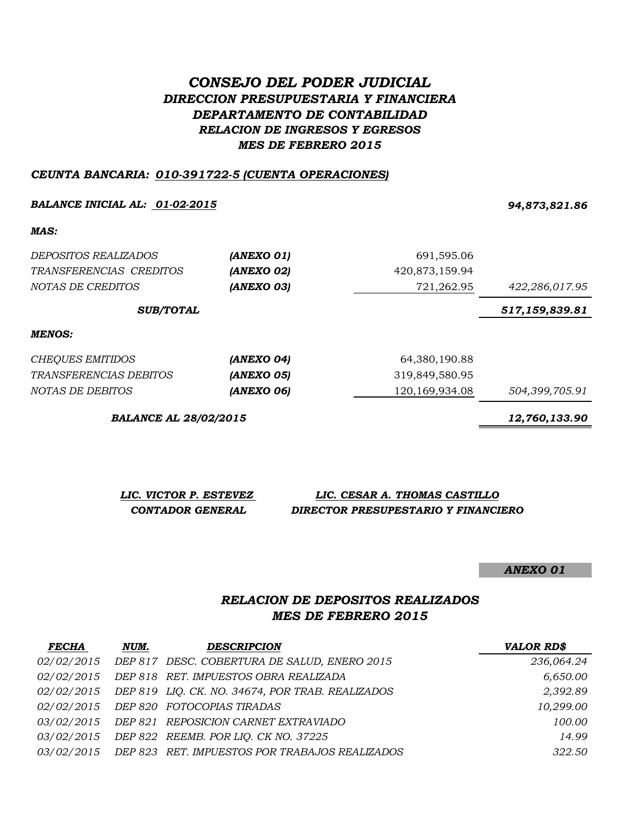# *CONSEJO DEL PODER JUDICIAL DIRECCION PRESUPUESTARIA Y FINANCIERA DEPARTAMENTO DE CONTABILIDAD RELACION DE INGRESOS Y EGRESOS MES DE FEBRERO 2015*

#### *CEUNTA BANCARIA: 010-391722-5 (CUENTA OPERACIONES)*

#### *BALANCE INICIAL AL: 01-02-2015 94,873,821.86*

#### *MAS:*

| MENOS:                   |            |                |                |
|--------------------------|------------|----------------|----------------|
| <b>SUB/TOTAL</b>         |            |                | 517,159,839.81 |
| <i>NOTAS DE CREDITOS</i> | (ANEXO 03) | 721,262.95     | 422,286,017.95 |
| TRANSFERENCIAS CREDITOS  | (ANEXO 02) | 420,873,159.94 |                |
| DEPOSITOS REALIZADOS     | (ANEXO 01) | 691,595.06     |                |

| CHEOUES EMITIDOS        | (ANEXO 04) | 64,380,190.88     |                |
|-------------------------|------------|-------------------|----------------|
| TRANSFERENCIAS DEBITOS  | (ANEXO 05) | 319,849,580.95    |                |
| <i>NOTAS DE DEBITOS</i> | (ANEXO 06) | 120, 169, 934. 08 | 504,399,705.91 |

*BALANCE AL 28/02/2015 12,760,133.90*

*LIC. VICTOR P. ESTEVEZ LIC. CESAR A. THOMAS CASTILLO CONTADOR GENERAL DIRECTOR PRESUPESTARIO Y FINANCIERO*

*ANEXO 01*

# *RELACION DE DEPOSITOS REALIZADOS MES DE FEBRERO 2015*

| <b>FECHA</b>      | NUM. | <b>DESCRIPCION</b>                               | <b>VALOR RD\$</b> |
|-------------------|------|--------------------------------------------------|-------------------|
| <i>02/02/2015</i> |      | DEP 817 DESC. COBERTURA DE SALUD, ENERO 2015     | 236,064.24        |
| <i>02/02/2015</i> |      | DEP 818 RET. IMPUESTOS OBRA REALIZADA            | 6,650.00          |
| <i>02/02/2015</i> |      | DEP 819 LIQ. CK. NO. 34674, POR TRAB. REALIZADOS | 2,392.89          |
| <i>02/02/2015</i> |      | DEP 820 FOTOCOPIAS TIRADAS                       | 10,299.00         |
| <i>03/02/2015</i> |      | DEP 821 REPOSICION CARNET EXTRAVIADO             | 100.00            |
| <i>03/02/2015</i> |      | DEP 822 REEMB. POR LIQ. CK NO. 37225             | 14.99             |
| <i>03/02/2015</i> |      | DEP 823 RET. IMPUESTOS POR TRABAJOS REALIZADOS   | 322.50            |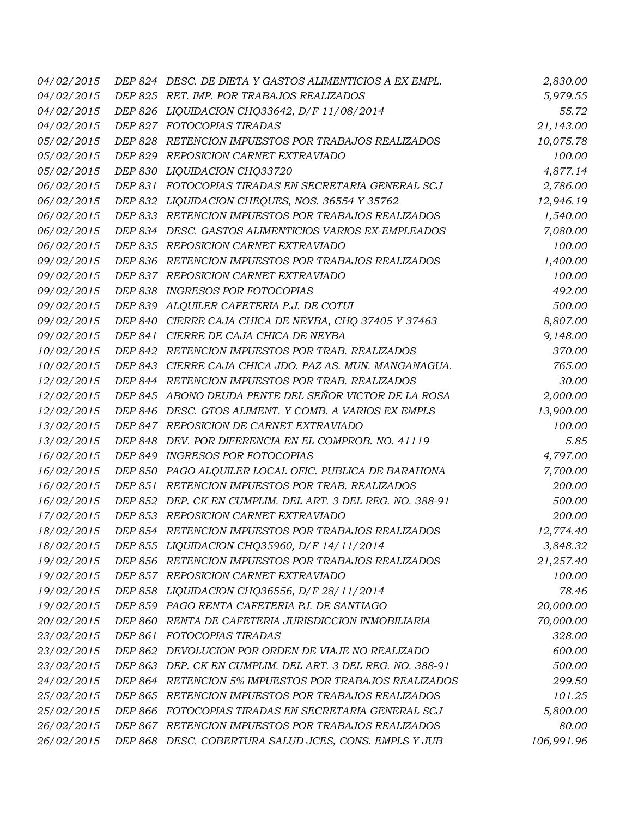| 04/02/2015 | DEP 824 DESC. DE DIETA Y GASTOS ALIMENTICIOS A EX EMPL.    | 2,830.00   |
|------------|------------------------------------------------------------|------------|
| 04/02/2015 | DEP 825 RET. IMP. POR TRABAJOS REALIZADOS                  | 5,979.55   |
| 04/02/2015 | DEP 826 LIQUIDACION CHQ33642, D/F 11/08/2014               | 55.72      |
| 04/02/2015 | DEP 827 FOTOCOPIAS TIRADAS                                 | 21,143.00  |
| 05/02/2015 | DEP 828 RETENCION IMPUESTOS POR TRABAJOS REALIZADOS        | 10,075.78  |
| 05/02/2015 | DEP 829 REPOSICION CARNET EXTRAVIADO                       | 100.00     |
| 05/02/2015 | DEP 830 LIQUIDACION CHQ33720                               | 4,877.14   |
| 06/02/2015 | DEP 831 FOTOCOPIAS TIRADAS EN SECRETARIA GENERAL SCJ       | 2,786.00   |
| 06/02/2015 | DEP 832 LIQUIDACION CHEQUES, NOS. 36554 Y 35762            | 12,946.19  |
| 06/02/2015 | DEP 833 RETENCION IMPUESTOS POR TRABAJOS REALIZADOS        | 1,540.00   |
| 06/02/2015 | DEP 834 DESC. GASTOS ALIMENTICIOS VARIOS EX-EMPLEADOS      | 7,080.00   |
| 06/02/2015 | DEP 835 REPOSICION CARNET EXTRAVIADO                       | 100.00     |
| 09/02/2015 | DEP 836 RETENCION IMPUESTOS POR TRABAJOS REALIZADOS        | 1,400.00   |
| 09/02/2015 | DEP 837 REPOSICION CARNET EXTRAVIADO                       | 100.00     |
| 09/02/2015 | DEP 838 INGRESOS POR FOTOCOPIAS                            | 492.00     |
| 09/02/2015 | DEP 839 ALQUILER CAFETERIA P.J. DE COTUI                   | 500.00     |
| 09/02/2015 | DEP 840 CIERRE CAJA CHICA DE NEYBA, CHQ 37405 Y 37463      | 8,807.00   |
| 09/02/2015 | DEP 841 CIERRE DE CAJA CHICA DE NEYBA                      | 9,148.00   |
| 10/02/2015 | DEP 842 RETENCION IMPUESTOS POR TRAB. REALIZADOS           | 370.00     |
| 10/02/2015 | DEP 843 CIERRE CAJA CHICA JDO. PAZ AS. MUN. MANGANAGUA.    | 765.00     |
| 12/02/2015 | DEP 844 RETENCION IMPUESTOS POR TRAB. REALIZADOS           | 30.00      |
| 12/02/2015 | DEP 845 ABONO DEUDA PENTE DEL SEÑOR VICTOR DE LA ROSA      | 2,000.00   |
| 12/02/2015 | DEP 846 DESC. GTOS ALIMENT. Y COMB. A VARIOS EX EMPLS      | 13,900.00  |
| 13/02/2015 | DEP 847 REPOSICION DE CARNET EXTRAVIADO                    | 100.00     |
| 13/02/2015 | DEP 848 DEV. POR DIFERENCIA EN EL COMPROB. NO. 41119       | 5.85       |
| 16/02/2015 | DEP 849 INGRESOS POR FOTOCOPIAS                            | 4,797.00   |
| 16/02/2015 | DEP 850 PAGO ALQUILER LOCAL OFIC. PUBLICA DE BARAHONA      | 7,700.00   |
| 16/02/2015 | DEP 851 RETENCION IMPUESTOS POR TRAB. REALIZADOS           | 200.00     |
| 16/02/2015 | DEP 852 DEP. CK EN CUMPLIM. DEL ART. 3 DEL REG. NO. 388-91 | 500.00     |
| 17/02/2015 | DEP 853 REPOSICION CARNET EXTRAVIADO                       | 200.00     |
| 18/02/2015 | DEP 854 RETENCION IMPUESTOS POR TRABAJOS REALIZADOS        | 12,774.40  |
| 18/02/2015 | DEP 855 LIQUIDACION CHQ35960, D/F 14/11/2014               | 3,848.32   |
| 19/02/2015 | DEP 856 RETENCION IMPUESTOS POR TRABAJOS REALIZADOS        | 21,257.40  |
| 19/02/2015 | DEP 857 REPOSICION CARNET EXTRAVIADO                       | 100.00     |
| 19/02/2015 | DEP 858 LIQUIDACION CHQ36556, D/F 28/11/2014               | 78.46      |
| 19/02/2015 | DEP 859 PAGO RENTA CAFETERIA PJ. DE SANTIAGO               | 20,000.00  |
| 20/02/2015 | DEP 860 RENTA DE CAFETERIA JURISDICCION INMOBILIARIA       | 70,000.00  |
| 23/02/2015 | DEP 861 FOTOCOPIAS TIRADAS                                 | 328.00     |
| 23/02/2015 | DEP 862 DEVOLUCION POR ORDEN DE VIAJE NO REALIZADO         | 600.00     |
| 23/02/2015 | DEP 863 DEP. CK EN CUMPLIM. DEL ART. 3 DEL REG. NO. 388-91 | 500.00     |
| 24/02/2015 | DEP 864 RETENCION 5% IMPUESTOS POR TRABAJOS REALIZADOS     | 299.50     |
| 25/02/2015 | DEP 865 RETENCION IMPUESTOS POR TRABAJOS REALIZADOS        | 101.25     |
| 25/02/2015 | DEP 866 FOTOCOPIAS TIRADAS EN SECRETARIA GENERAL SCJ       | 5,800.00   |
| 26/02/2015 | DEP 867 RETENCION IMPUESTOS POR TRABAJOS REALIZADOS        | 80.00      |
| 26/02/2015 | DEP 868 DESC. COBERTURA SALUD JCES, CONS. EMPLS Y JUB      | 106,991.96 |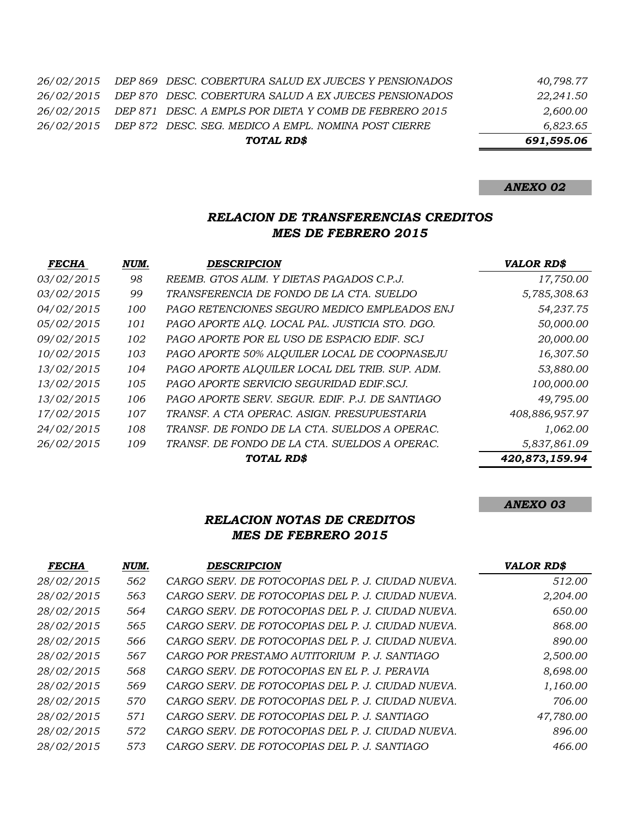|  | TOTAL RD\$                                                        | 691.595.06 |
|--|-------------------------------------------------------------------|------------|
|  | 26/02/2015 DEP 872 DESC. SEG. MEDICO A EMPL. NOMINA POST CIERRE   | 6,823.65   |
|  | 26/02/2015 DEP 871 DESC. A EMPLS POR DIETA Y COMB DE FEBRERO 2015 | 2,600.00   |
|  | 26/02/2015 DEP 870 DESC. COBERTURA SALUD A EX JUECES PENSIONADOS  | 22.241.50  |
|  | 26/02/2015 DEP 869 DESC. COBERTURA SALUD EX JUECES Y PENSIONADOS  | 40.798.77  |

# *RELACION DE TRANSFERENCIAS CREDITOS MES DE FEBRERO 2015*

| <b>FECHA</b>      | NUM. | <b>DESCRIPCION</b>                              | <b>VALOR RD\$</b> |
|-------------------|------|-------------------------------------------------|-------------------|
| 03/02/2015        | 98   | REEMB. GTOS ALIM. Y DIETAS PAGADOS C.P.J.       | 17,750.00         |
| 03/02/2015        | 99   | TRANSFERENCIA DE FONDO DE LA CTA. SUELDO        | 5,785,308.63      |
| 04/02/2015        | 100  | PAGO RETENCIONES SEGURO MEDICO EMPLEADOS ENJ    | 54,237.75         |
| 05/02/2015        | 101  | PAGO APORTE ALO. LOCAL PAL. JUSTICIA STO. DGO.  | 50,000.00         |
| 09/02/2015        | 102  | PAGO APORTE POR EL USO DE ESPACIO EDIF. SCJ     | 20,000.00         |
| 10/02/2015        | 103  | PAGO APORTE 50% ALQUILER LOCAL DE COOPNASEJU    | 16,307.50         |
| 13/02/2015        | 104  | PAGO APORTE ALQUILER LOCAL DEL TRIB. SUP. ADM.  | 53,880.00         |
| 13/02/2015        | 105  | PAGO APORTE SERVICIO SEGURIDAD EDIF.SCJ.        | 100,000.00        |
| 13/02/2015        | 106  | PAGO APORTE SERV. SEGUR. EDIF. P.J. DE SANTIAGO | 49,795.00         |
| 17/02/2015        | 107  | TRANSF. A CTA OPERAC. ASIGN. PRESUPUESTARIA     | 408,886,957.97    |
| <i>24/02/2015</i> | 108  | TRANSF. DE FONDO DE LA CTA. SUELDOS A OPERAC.   | 1,062.00          |
| 26/02/2015        | 109  | TRANSF. DE FONDO DE LA CTA. SUELDOS A OPERAC.   | 5,837,861.09      |
|                   |      | <b>TOTAL RD\$</b>                               | 420,873,159.94    |

# *ANEXO 03*

## *RELACION NOTAS DE CREDITOS MES DE FEBRERO 2015*

| <b>FECHA</b> | NUM. | <b>DESCRIPCION</b>                                | <b>VALOR RD\$</b> |
|--------------|------|---------------------------------------------------|-------------------|
| 28/02/2015   | 562  | CARGO SERV. DE FOTOCOPIAS DEL P. J. CIUDAD NUEVA. | 512.00            |
| 28/02/2015   | 563  | CARGO SERV. DE FOTOCOPIAS DEL P. J. CIUDAD NUEVA. | 2,204.00          |
| 28/02/2015   | 564  | CARGO SERV. DE FOTOCOPIAS DEL P. J. CIUDAD NUEVA. | 650.00            |
| 28/02/2015   | 565  | CARGO SERV. DE FOTOCOPIAS DEL P. J. CIUDAD NUEVA. | 868.00            |
| 28/02/2015   | 566  | CARGO SERV. DE FOTOCOPIAS DEL P. J. CIUDAD NUEVA. | 890.00            |
| 28/02/2015   | 567  | CARGO POR PRESTAMO AUTITORIUM P. J. SANTIAGO      | 2,500.00          |
| 28/02/2015   | 568  | CARGO SERV. DE FOTOCOPIAS EN EL P. J. PERAVIA     | 8,698.00          |
| 28/02/2015   | 569  | CARGO SERV. DE FOTOCOPIAS DEL P. J. CIUDAD NUEVA. | 1,160.00          |
| 28/02/2015   | 570  | CARGO SERV. DE FOTOCOPIAS DEL P. J. CIUDAD NUEVA. | 706.00            |
| 28/02/2015   | 571  | CARGO SERV. DE FOTOCOPIAS DEL P. J. SANTIAGO      | 47,780.00         |
| 28/02/2015   | 572  | CARGO SERV. DE FOTOCOPIAS DEL P. J. CIUDAD NUEVA. | 896.00            |
| 28/02/2015   | 573  | CARGO SERV. DE FOTOCOPIAS DEL P. J. SANTIAGO      | 466.00            |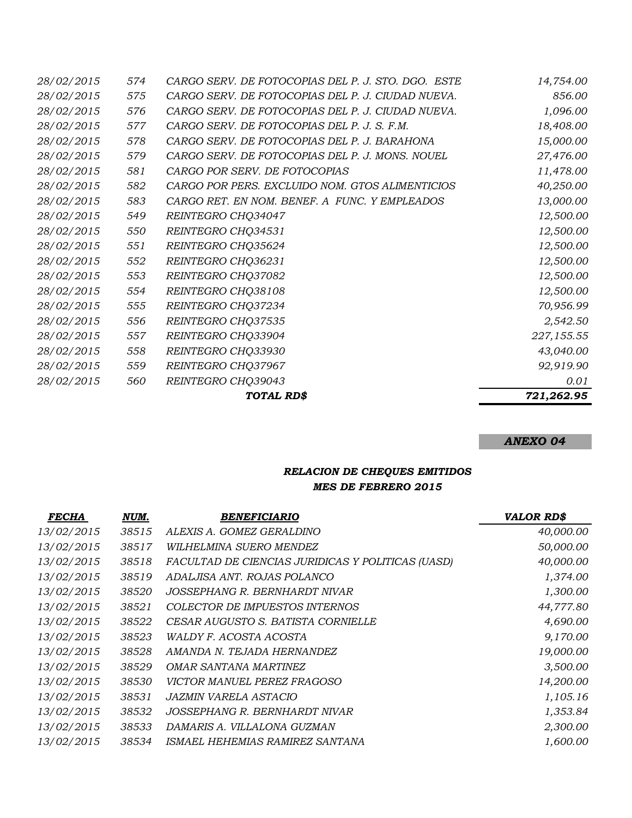|                   |     | TOTAL RD\$                                         | 721,262.95 |
|-------------------|-----|----------------------------------------------------|------------|
| 28/02/2015        | 560 | REINTEGRO CHQ39043                                 | 0.01       |
| 28/02/2015        | 559 | REINTEGRO CHQ37967                                 | 92,919.90  |
| 28/02/2015        | 558 | REINTEGRO CHQ33930                                 | 43,040.00  |
| 28/02/2015        | 557 | REINTEGRO CHQ33904                                 | 227,155.55 |
| 28/02/2015        | 556 | REINTEGRO CHQ37535                                 | 2,542.50   |
| 28/02/2015        | 555 | REINTEGRO CHQ37234                                 | 70,956.99  |
| 28/02/2015        | 554 | REINTEGRO CHQ38108                                 | 12,500.00  |
| 28/02/2015        | 553 | REINTEGRO CHQ37082                                 | 12,500.00  |
| 28/02/2015        | 552 | REINTEGRO CHQ36231                                 | 12,500.00  |
| 28/02/2015        | 551 | REINTEGRO CHQ35624                                 | 12,500.00  |
| 28/02/2015        | 550 | REINTEGRO CHQ34531                                 | 12,500.00  |
| 28/02/2015        | 549 | REINTEGRO CHQ34047                                 | 12,500.00  |
| 28/02/2015        | 583 | CARGO RET. EN NOM. BENEF. A FUNC. Y EMPLEADOS      | 13,000.00  |
| 28/02/2015        | 582 | CARGO POR PERS. EXCLUIDO NOM. GTOS ALIMENTICIOS    | 40,250.00  |
| 28/02/2015        | 581 | CARGO POR SERV. DE FOTOCOPIAS                      | 11,478.00  |
| 28/02/2015        | 579 | CARGO SERV. DE FOTOCOPIAS DEL P. J. MONS. NOUEL    | 27,476.00  |
| 28/02/2015        | 578 | CARGO SERV. DE FOTOCOPIAS DEL P. J. BARAHONA       | 15,000.00  |
| 28/02/2015        | 577 | CARGO SERV. DE FOTOCOPIAS DEL P. J. S. F.M.        | 18,408.00  |
| 28/02/2015        | 576 | CARGO SERV. DE FOTOCOPIAS DEL P. J. CIUDAD NUEVA.  | 1,096.00   |
| 28/02/2015        | 575 | CARGO SERV. DE FOTOCOPIAS DEL P. J. CIUDAD NUEVA.  | 856.00     |
| <i>28/02/2015</i> | 574 | CARGO SERV. DE FOTOCOPIAS DEL P. J. STO. DGO. ESTE | 14,754.00  |

## *RELACION DE CHEQUES EMITIDOS MES DE FEBRERO 2015*

| <i>FECHA</i> | NUM.  | <b>BENEFICIARIO</b>                               | <b>VALOR RD\$</b> |
|--------------|-------|---------------------------------------------------|-------------------|
| 13/02/2015   | 38515 | ALEXIS A. GOMEZ GERALDINO                         | 40,000.00         |
| 13/02/2015   | 38517 | WILHELMINA SUERO MENDEZ                           | 50,000.00         |
| 13/02/2015   | 38518 | FACULTAD DE CIENCIAS JURIDICAS Y POLITICAS (UASD) | 40,000.00         |
| 13/02/2015   | 38519 | ADALJISA ANT. ROJAS POLANCO                       | 1,374.00          |
| 13/02/2015   | 38520 | JOSSEPHANG R. BERNHARDT NIVAR                     | 1,300.00          |
| 13/02/2015   | 38521 | COLECTOR DE IMPUESTOS INTERNOS                    | 44,777.80         |
| 13/02/2015   | 38522 | CESAR AUGUSTO S. BATISTA CORNIELLE                | 4,690.00          |
| 13/02/2015   | 38523 | <i>WALDY F. ACOSTA ACOSTA</i>                     | 9,170.00          |
| 13/02/2015   | 38528 | AMANDA N. TEJADA HERNANDEZ                        | 19,000.00         |
| 13/02/2015   | 38529 | <i>OMAR SANTANA MARTINEZ</i>                      | 3,500.00          |
| 13/02/2015   | 38530 | <i>VICTOR MANUEL PEREZ FRAGOSO</i>                | 14,200.00         |
| 13/02/2015   | 38531 | JAZMIN VARELA ASTACIO                             | 1,105.16          |
| 13/02/2015   | 38532 | JOSSEPHANG R. BERNHARDT NIVAR                     | 1,353.84          |
| 13/02/2015   | 38533 | DAMARIS A. VILLALONA GUZMAN                       | 2,300.00          |
| 13/02/2015   | 38534 | ISMAEL HEHEMIAS RAMIREZ SANTANA                   | 1,600.00          |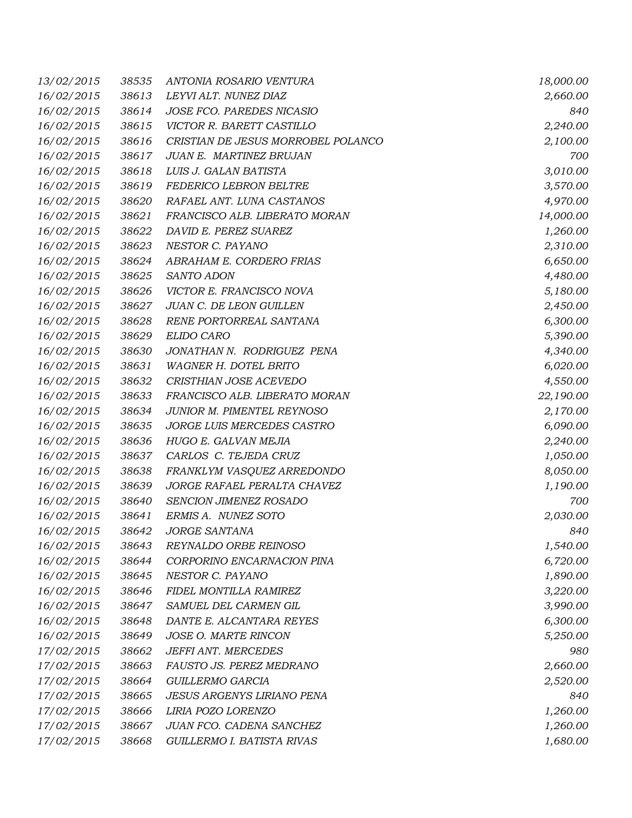| 13/02/2015 | 38535 | ANTONIA ROSARIO VENTURA            | 18,000.00 |
|------------|-------|------------------------------------|-----------|
| 16/02/2015 | 38613 | LEYVI ALT. NUNEZ DIAZ              | 2,660.00  |
| 16/02/2015 | 38614 | JOSE FCO. PAREDES NICASIO          | 840       |
| 16/02/2015 | 38615 | VICTOR R. BARETT CASTILLO          | 2,240.00  |
| 16/02/2015 | 38616 | CRISTIAN DE JESUS MORROBEL POLANCO | 2,100.00  |
| 16/02/2015 | 38617 | <b>JUAN E. MARTINEZ BRUJAN</b>     | 700       |
| 16/02/2015 | 38618 | LUIS J. GALAN BATISTA              | 3,010.00  |
| 16/02/2015 | 38619 | FEDERICO LEBRON BELTRE             | 3,570.00  |
| 16/02/2015 | 38620 | RAFAEL ANT. LUNA CASTANOS          | 4,970.00  |
| 16/02/2015 | 38621 | FRANCISCO ALB. LIBERATO MORAN      | 14,000.00 |
| 16/02/2015 | 38622 | DAVID E. PEREZ SUAREZ              | 1,260.00  |
| 16/02/2015 | 38623 | NESTOR C. PAYANO                   | 2,310.00  |
| 16/02/2015 | 38624 | ABRAHAM E. CORDERO FRIAS           | 6,650.00  |
| 16/02/2015 | 38625 | SANTO ADON                         | 4,480.00  |
| 16/02/2015 | 38626 | VICTOR E. FRANCISCO NOVA           | 5,180.00  |
| 16/02/2015 | 38627 | JUAN C. DE LEON GUILLEN            | 2,450.00  |
| 16/02/2015 | 38628 | RENE PORTORREAL SANTANA            | 6,300.00  |
| 16/02/2015 | 38629 | ELIDO CARO                         | 5,390.00  |
| 16/02/2015 | 38630 | JONATHAN N. RODRIGUEZ PENA         | 4,340.00  |
| 16/02/2015 | 38631 | WAGNER H. DOTEL BRITO              | 6,020.00  |
| 16/02/2015 | 38632 | CRISTHIAN JOSE ACEVEDO             | 4,550.00  |
| 16/02/2015 | 38633 | FRANCISCO ALB. LIBERATO MORAN      | 22,190.00 |
| 16/02/2015 | 38634 | JUNIOR M. PIMENTEL REYNOSO         | 2,170.00  |
| 16/02/2015 | 38635 | JORGE LUIS MERCEDES CASTRO         | 6,090.00  |
| 16/02/2015 | 38636 | HUGO E. GALVAN MEJIA               | 2,240.00  |
| 16/02/2015 | 38637 | CARLOS C. TEJEDA CRUZ              | 1,050.00  |
| 16/02/2015 | 38638 | FRANKLYM VASQUEZ ARREDONDO         | 8,050.00  |
| 16/02/2015 | 38639 | JORGE RAFAEL PERALTA CHAVEZ        | 1,190.00  |
| 16/02/2015 | 38640 | SENCION JIMENEZ ROSADO             | 700       |
| 16/02/2015 | 38641 | ERMIS A. NUNEZ SOTO                | 2,030.00  |
| 16/02/2015 | 38642 | <b>JORGE SANTANA</b>               | 840       |
| 16/02/2015 | 38643 | REYNALDO ORBE REINOSO              | 1,540.00  |
| 16/02/2015 | 38644 | CORPORINO ENCARNACION PINA         | 6,720.00  |
| 16/02/2015 | 38645 | NESTOR C. PAYANO                   | 1,890.00  |
| 16/02/2015 | 38646 | FIDEL MONTILLA RAMIREZ             | 3,220.00  |
| 16/02/2015 | 38647 | SAMUEL DEL CARMEN GIL              | 3,990.00  |
| 16/02/2015 | 38648 | DANTE E. ALCANTARA REYES           | 6,300.00  |
| 16/02/2015 | 38649 | JOSE O. MARTE RINCON               | 5,250.00  |
| 17/02/2015 | 38662 | <b>JEFFI ANT. MERCEDES</b>         | 980       |
| 17/02/2015 | 38663 | FAUSTO JS. PEREZ MEDRANO           | 2,660.00  |
| 17/02/2015 | 38664 | GUILLERMO GARCIA                   | 2,520.00  |
| 17/02/2015 | 38665 | <b>JESUS ARGENYS LIRIANO PENA</b>  | 840       |
| 17/02/2015 | 38666 | LIRIA POZO LORENZO                 | 1,260.00  |
| 17/02/2015 | 38667 | JUAN FCO. CADENA SANCHEZ           | 1,260.00  |
| 17/02/2015 | 38668 | GUILLERMO I. BATISTA RIVAS         | 1,680.00  |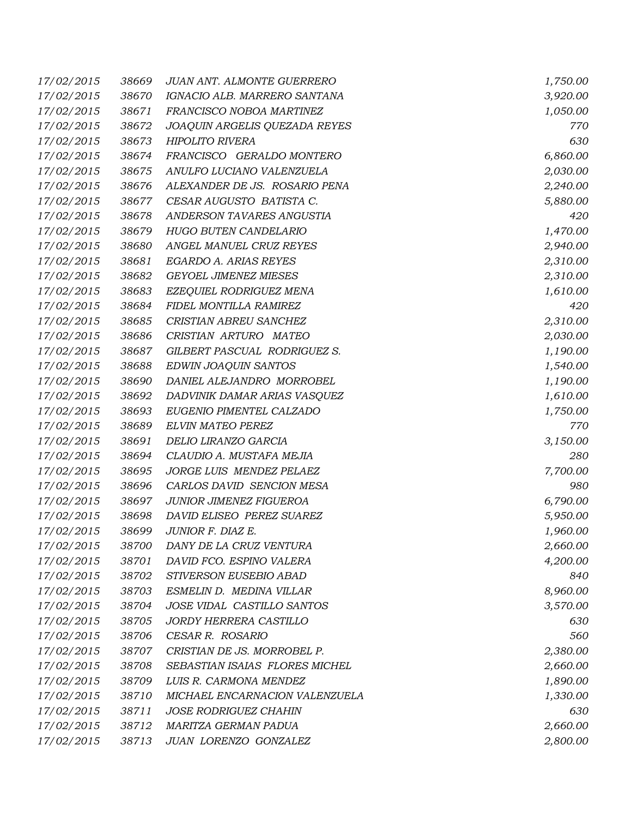| 17/02/2015 | 38669 | <b>JUAN ANT. ALMONTE GUERRERO</b> | 1,750.00 |
|------------|-------|-----------------------------------|----------|
| 17/02/2015 | 38670 | IGNACIO ALB. MARRERO SANTANA      | 3,920.00 |
| 17/02/2015 | 38671 | FRANCISCO NOBOA MARTINEZ          | 1,050.00 |
| 17/02/2015 | 38672 | JOAQUIN ARGELIS QUEZADA REYES     | 770      |
| 17/02/2015 | 38673 | <b>HIPOLITO RIVERA</b>            | 630      |
| 17/02/2015 | 38674 | FRANCISCO GERALDO MONTERO         | 6,860.00 |
| 17/02/2015 | 38675 | ANULFO LUCIANO VALENZUELA         | 2,030.00 |
| 17/02/2015 | 38676 | ALEXANDER DE JS. ROSARIO PENA     | 2,240.00 |
| 17/02/2015 | 38677 | CESAR AUGUSTO BATISTA C.          | 5,880.00 |
| 17/02/2015 | 38678 | ANDERSON TAVARES ANGUSTIA         | 420      |
| 17/02/2015 | 38679 | HUGO BUTEN CANDELARIO             | 1,470.00 |
| 17/02/2015 | 38680 | ANGEL MANUEL CRUZ REYES           | 2,940.00 |
| 17/02/2015 | 38681 | EGARDO A. ARIAS REYES             | 2,310.00 |
| 17/02/2015 | 38682 | <b>GEYOEL JIMENEZ MIESES</b>      | 2,310.00 |
| 17/02/2015 | 38683 | EZEQUIEL RODRIGUEZ MENA           | 1,610.00 |
| 17/02/2015 | 38684 | FIDEL MONTILLA RAMIREZ            | 420      |
| 17/02/2015 | 38685 | CRISTIAN ABREU SANCHEZ            | 2,310.00 |
| 17/02/2015 | 38686 | CRISTIAN ARTURO MATEO             | 2,030.00 |
| 17/02/2015 | 38687 | GILBERT PASCUAL RODRIGUEZ S.      | 1,190.00 |
| 17/02/2015 | 38688 | EDWIN JOAQUIN SANTOS              | 1,540.00 |
| 17/02/2015 | 38690 | DANIEL ALEJANDRO MORROBEL         | 1,190.00 |
| 17/02/2015 | 38692 | DADVINIK DAMAR ARIAS VASQUEZ      | 1,610.00 |
| 17/02/2015 | 38693 | EUGENIO PIMENTEL CALZADO          | 1,750.00 |
| 17/02/2015 | 38689 | ELVIN MATEO PEREZ                 | 770      |
| 17/02/2015 | 38691 | DELIO LIRANZO GARCIA              | 3,150.00 |
| 17/02/2015 | 38694 | CLAUDIO A. MUSTAFA MEJIA          | 280      |
| 17/02/2015 | 38695 | JORGE LUIS MENDEZ PELAEZ          | 7,700.00 |
| 17/02/2015 | 38696 | CARLOS DAVID SENCION MESA         | 980      |
| 17/02/2015 | 38697 | JUNIOR JIMENEZ FIGUEROA           | 6,790.00 |
| 17/02/2015 | 38698 | DAVID ELISEO PEREZ SUAREZ         | 5,950.00 |
| 17/02/2015 | 38699 | JUNIOR F. DIAZ E.                 | 1,960.00 |
| 17/02/2015 | 38700 | DANY DE LA CRUZ VENTURA           | 2,660.00 |
| 17/02/2015 | 38701 | DAVID FCO. ESPINO VALERA          | 4,200.00 |
| 17/02/2015 | 38702 | STIVERSON EUSEBIO ABAD            | 840      |
| 17/02/2015 | 38703 | ESMELIN D. MEDINA VILLAR          | 8,960.00 |
| 17/02/2015 | 38704 | JOSE VIDAL CASTILLO SANTOS        | 3,570.00 |
| 17/02/2015 | 38705 | JORDY HERRERA CASTILLO            | 630      |
| 17/02/2015 | 38706 | CESAR R. ROSARIO                  | 560      |
| 17/02/2015 | 38707 | CRISTIAN DE JS. MORROBEL P.       | 2,380.00 |
| 17/02/2015 | 38708 | SEBASTIAN ISAIAS FLORES MICHEL    | 2,660.00 |
| 17/02/2015 | 38709 | LUIS R. CARMONA MENDEZ            | 1,890.00 |
| 17/02/2015 | 38710 | MICHAEL ENCARNACION VALENZUELA    | 1,330.00 |
| 17/02/2015 | 38711 | <b>JOSE RODRIGUEZ CHAHIN</b>      | 630      |
| 17/02/2015 | 38712 | MARITZA GERMAN PADUA              | 2,660.00 |
| 17/02/2015 | 38713 | JUAN LORENZO GONZALEZ             | 2,800.00 |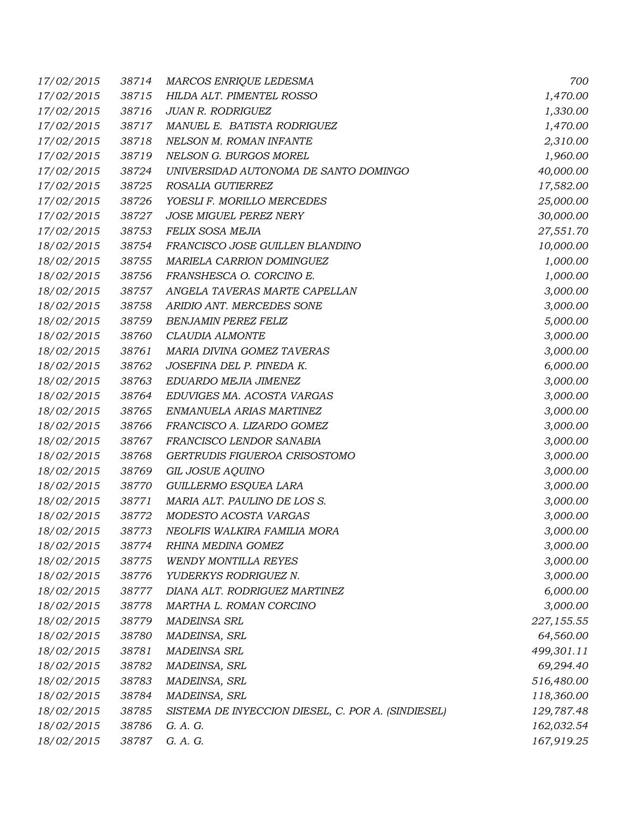| 17/02/2015 | 38714 | MARCOS ENRIQUE LEDESMA                             | 700        |
|------------|-------|----------------------------------------------------|------------|
| 17/02/2015 | 38715 | HILDA ALT. PIMENTEL ROSSO                          | 1,470.00   |
| 17/02/2015 | 38716 | JUAN R. RODRIGUEZ                                  | 1,330.00   |
| 17/02/2015 | 38717 | MANUEL E. BATISTA RODRIGUEZ                        | 1,470.00   |
| 17/02/2015 | 38718 | NELSON M. ROMAN INFANTE                            | 2,310.00   |
| 17/02/2015 | 38719 | NELSON G. BURGOS MOREL                             | 1,960.00   |
| 17/02/2015 | 38724 | UNIVERSIDAD AUTONOMA DE SANTO DOMINGO              | 40,000.00  |
| 17/02/2015 | 38725 | ROSALIA GUTIERREZ                                  | 17,582.00  |
| 17/02/2015 | 38726 | YOESLI F. MORILLO MERCEDES                         | 25,000.00  |
| 17/02/2015 | 38727 | <b>JOSE MIGUEL PEREZ NERY</b>                      | 30,000.00  |
| 17/02/2015 | 38753 | FELIX SOSA MEJIA                                   | 27,551.70  |
| 18/02/2015 | 38754 | FRANCISCO JOSE GUILLEN BLANDINO                    | 10,000.00  |
| 18/02/2015 | 38755 | MARIELA CARRION DOMINGUEZ                          | 1,000.00   |
| 18/02/2015 | 38756 | FRANSHESCA O. CORCINO E.                           | 1,000.00   |
| 18/02/2015 | 38757 | ANGELA TAVERAS MARTE CAPELLAN                      | 3,000.00   |
| 18/02/2015 | 38758 | ARIDIO ANT. MERCEDES SONE                          | 3,000.00   |
| 18/02/2015 | 38759 | <b>BENJAMIN PEREZ FELIZ</b>                        | 5,000.00   |
| 18/02/2015 | 38760 | CLAUDIA ALMONTE                                    | 3,000.00   |
| 18/02/2015 | 38761 | MARIA DIVINA GOMEZ TAVERAS                         | 3,000.00   |
| 18/02/2015 | 38762 | JOSEFINA DEL P. PINEDA K.                          | 6,000.00   |
| 18/02/2015 | 38763 | EDUARDO MEJIA JIMENEZ                              | 3,000.00   |
| 18/02/2015 | 38764 | EDUVIGES MA. ACOSTA VARGAS                         | 3,000.00   |
| 18/02/2015 | 38765 | ENMANUELA ARIAS MARTINEZ                           | 3,000.00   |
| 18/02/2015 | 38766 | FRANCISCO A. LIZARDO GOMEZ                         | 3,000.00   |
| 18/02/2015 | 38767 | FRANCISCO LENDOR SANABIA                           | 3,000.00   |
| 18/02/2015 | 38768 | GERTRUDIS FIGUEROA CRISOSTOMO                      | 3,000.00   |
| 18/02/2015 | 38769 | GIL JOSUE AQUINO                                   | 3,000.00   |
| 18/02/2015 | 38770 | GUILLERMO ESQUEA LARA                              | 3,000.00   |
| 18/02/2015 | 38771 | MARIA ALT. PAULINO DE LOS S.                       | 3,000.00   |
| 18/02/2015 | 38772 | MODESTO ACOSTA VARGAS                              | 3,000.00   |
| 18/02/2015 | 38773 | NEOLFIS WALKIRA FAMILIA MORA                       | 3,000.00   |
| 18/02/2015 | 38774 | RHINA MEDINA GOMEZ                                 | 3,000.00   |
| 18/02/2015 | 38775 | WENDY MONTILLA REYES                               | 3,000.00   |
| 18/02/2015 | 38776 | YUDERKYS RODRIGUEZ N.                              | 3,000.00   |
| 18/02/2015 | 38777 | DIANA ALT. RODRIGUEZ MARTINEZ                      | 6,000.00   |
| 18/02/2015 | 38778 | MARTHA L. ROMAN CORCINO                            | 3,000.00   |
| 18/02/2015 | 38779 | MADEINSA SRL                                       | 227,155.55 |
| 18/02/2015 | 38780 | MADEINSA, SRL                                      | 64,560.00  |
| 18/02/2015 | 38781 | <b>MADEINSA SRL</b>                                | 499,301.11 |
| 18/02/2015 | 38782 | MADEINSA, SRL                                      | 69,294.40  |
| 18/02/2015 | 38783 | MADEINSA, SRL                                      | 516,480.00 |
| 18/02/2015 | 38784 | MADEINSA, SRL                                      | 118,360.00 |
| 18/02/2015 | 38785 | SISTEMA DE INYECCION DIESEL, C. POR A. (SINDIESEL) | 129,787.48 |
| 18/02/2015 | 38786 | G. A. G.                                           | 162,032.54 |
| 18/02/2015 | 38787 | G. A. G.                                           | 167,919.25 |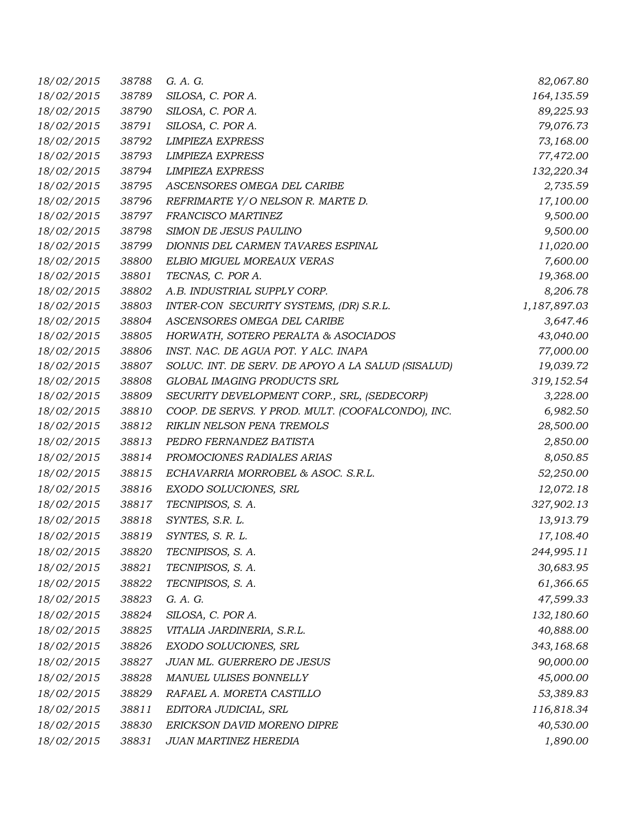| 18/02/2015 | 38788 | G. A. G.                                           | 82,067.80    |
|------------|-------|----------------------------------------------------|--------------|
| 18/02/2015 | 38789 | SILOSA, C. POR A.                                  | 164, 135.59  |
| 18/02/2015 | 38790 | SILOSA, C. POR A.                                  | 89,225.93    |
| 18/02/2015 | 38791 | SILOSA, C. POR A.                                  | 79,076.73    |
| 18/02/2015 | 38792 | <b>LIMPIEZA EXPRESS</b>                            | 73,168.00    |
| 18/02/2015 | 38793 | <b>LIMPIEZA EXPRESS</b>                            | 77,472.00    |
| 18/02/2015 | 38794 | <b>LIMPIEZA EXPRESS</b>                            | 132,220.34   |
| 18/02/2015 | 38795 | ASCENSORES OMEGA DEL CARIBE                        | 2,735.59     |
| 18/02/2015 | 38796 | REFRIMARTE Y/O NELSON R. MARTE D.                  | 17,100.00    |
| 18/02/2015 | 38797 | <b>FRANCISCO MARTINEZ</b>                          | 9,500.00     |
| 18/02/2015 | 38798 | SIMON DE JESUS PAULINO                             | 9,500.00     |
| 18/02/2015 | 38799 | DIONNIS DEL CARMEN TAVARES ESPINAL                 | 11,020.00    |
| 18/02/2015 | 38800 | ELBIO MIGUEL MOREAUX VERAS                         | 7,600.00     |
| 18/02/2015 | 38801 | TECNAS, C. POR A.                                  | 19,368.00    |
| 18/02/2015 | 38802 | A.B. INDUSTRIAL SUPPLY CORP.                       | 8,206.78     |
| 18/02/2015 | 38803 | INTER-CON SECURITY SYSTEMS, (DR) S.R.L.            | 1,187,897.03 |
| 18/02/2015 | 38804 | ASCENSORES OMEGA DEL CARIBE                        | 3,647.46     |
| 18/02/2015 | 38805 | HORWATH, SOTERO PERALTA & ASOCIADOS                | 43,040.00    |
| 18/02/2015 | 38806 | INST. NAC. DE AGUA POT. Y ALC. INAPA               | 77,000.00    |
| 18/02/2015 | 38807 | SOLUC. INT. DE SERV. DE APOYO A LA SALUD (SISALUD) | 19,039.72    |
| 18/02/2015 | 38808 | <b>GLOBAL IMAGING PRODUCTS SRL</b>                 | 319,152.54   |
| 18/02/2015 | 38809 | SECURITY DEVELOPMENT CORP., SRL, (SEDECORP)        | 3,228.00     |
| 18/02/2015 | 38810 | COOP. DE SERVS. Y PROD. MULT. (COOFALCONDO), INC.  | 6,982.50     |
| 18/02/2015 | 38812 | RIKLIN NELSON PENA TREMOLS                         | 28,500.00    |
| 18/02/2015 | 38813 | PEDRO FERNANDEZ BATISTA                            | 2,850.00     |
| 18/02/2015 | 38814 | PROMOCIONES RADIALES ARIAS                         | 8,050.85     |
| 18/02/2015 | 38815 | ECHAVARRIA MORROBEL & ASOC. S.R.L.                 | 52,250.00    |
| 18/02/2015 | 38816 | EXODO SOLUCIONES, SRL                              | 12,072.18    |
| 18/02/2015 | 38817 | TECNIPISOS, S. A.                                  | 327,902.13   |
| 18/02/2015 | 38818 | SYNTES, S.R. L.                                    | 13,913.79    |
| 18/02/2015 | 38819 | SYNTES, S. R. L.                                   | 17,108.40    |
| 18/02/2015 | 38820 | TECNIPISOS, S. A.                                  | 244,995.11   |
| 18/02/2015 | 38821 | TECNIPISOS, S. A.                                  | 30,683.95    |
| 18/02/2015 | 38822 | TECNIPISOS, S. A.                                  | 61,366.65    |
| 18/02/2015 | 38823 | G. A. G.                                           | 47,599.33    |
| 18/02/2015 | 38824 | SILOSA, C. POR A.                                  | 132,180.60   |
| 18/02/2015 | 38825 | VITALIA JARDINERIA, S.R.L.                         | 40,888.00    |
| 18/02/2015 | 38826 | EXODO SOLUCIONES, SRL                              | 343,168.68   |
| 18/02/2015 | 38827 | JUAN ML. GUERRERO DE JESUS                         | 90,000.00    |
| 18/02/2015 | 38828 | MANUEL ULISES BONNELLY                             | 45,000.00    |
| 18/02/2015 | 38829 | RAFAEL A. MORETA CASTILLO                          | 53,389.83    |
|            |       | EDITORA JUDICIAL, SRL                              |              |
| 18/02/2015 | 38811 |                                                    | 116,818.34   |
| 18/02/2015 | 38830 | ERICKSON DAVID MORENO DIPRE                        | 40,530.00    |
| 18/02/2015 | 38831 | JUAN MARTINEZ HEREDIA                              | 1,890.00     |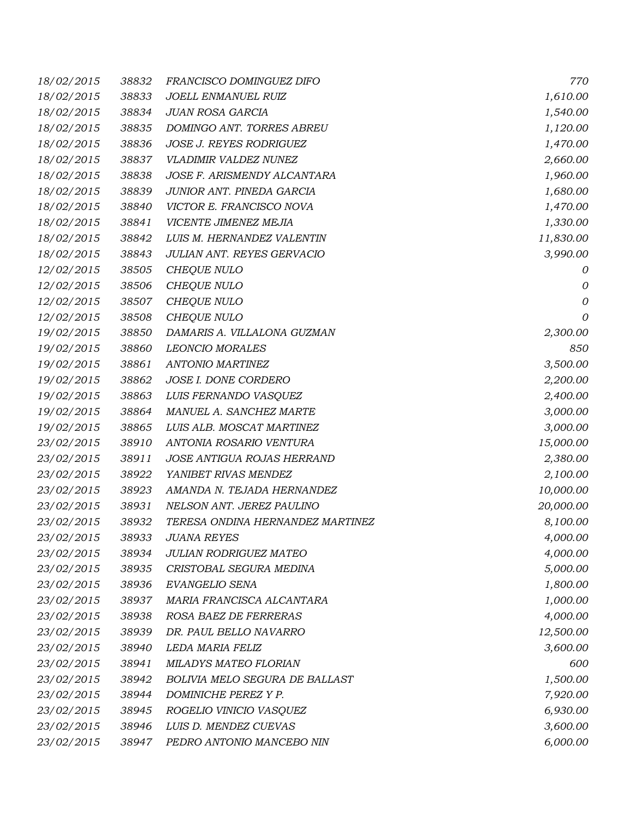| 18/02/2015 | 38832 | FRANCISCO DOMINGUEZ DIFO          | 770          |
|------------|-------|-----------------------------------|--------------|
| 18/02/2015 | 38833 | JOELL ENMANUEL RUIZ               | 1,610.00     |
| 18/02/2015 | 38834 | <b>JUAN ROSA GARCIA</b>           | 1,540.00     |
| 18/02/2015 | 38835 | DOMINGO ANT. TORRES ABREU         | 1,120.00     |
| 18/02/2015 | 38836 | <b>JOSE J. REYES RODRIGUEZ</b>    | 1,470.00     |
| 18/02/2015 | 38837 | VLADIMIR VALDEZ NUNEZ             | 2,660.00     |
| 18/02/2015 | 38838 | JOSE F. ARISMENDY ALCANTARA       | 1,960.00     |
| 18/02/2015 | 38839 | JUNIOR ANT. PINEDA GARCIA         | 1,680.00     |
| 18/02/2015 | 38840 | VICTOR E. FRANCISCO NOVA          | 1,470.00     |
| 18/02/2015 | 38841 | VICENTE JIMENEZ MEJIA             | 1,330.00     |
| 18/02/2015 | 38842 | LUIS M. HERNANDEZ VALENTIN        | 11,830.00    |
| 18/02/2015 | 38843 | <b>JULIAN ANT. REYES GERVACIO</b> | 3,990.00     |
| 12/02/2015 | 38505 | CHEQUE NULO                       | 0            |
| 12/02/2015 | 38506 | <b>CHEQUE NULO</b>                | 0            |
| 12/02/2015 | 38507 | <b>CHEQUE NULO</b>                | $\mathcal O$ |
| 12/02/2015 | 38508 | <b>CHEQUE NULO</b>                | 0            |
| 19/02/2015 | 38850 | DAMARIS A. VILLALONA GUZMAN       | 2,300.00     |
| 19/02/2015 | 38860 | <b>LEONCIO MORALES</b>            | 850          |
| 19/02/2015 | 38861 | <b>ANTONIO MARTINEZ</b>           | 3,500.00     |
| 19/02/2015 | 38862 | JOSE I. DONE CORDERO              | 2,200.00     |
| 19/02/2015 | 38863 | LUIS FERNANDO VASQUEZ             | 2,400.00     |
| 19/02/2015 | 38864 | MANUEL A. SANCHEZ MARTE           | 3,000.00     |
| 19/02/2015 | 38865 | LUIS ALB. MOSCAT MARTINEZ         | 3,000.00     |
| 23/02/2015 | 38910 | ANTONIA ROSARIO VENTURA           | 15,000.00    |
| 23/02/2015 | 38911 | JOSE ANTIGUA ROJAS HERRAND        | 2,380.00     |
| 23/02/2015 | 38922 | YANIBET RIVAS MENDEZ              | 2,100.00     |
| 23/02/2015 | 38923 | AMANDA N. TEJADA HERNANDEZ        | 10,000.00    |
| 23/02/2015 | 38931 | NELSON ANT. JEREZ PAULINO         | 20,000.00    |
| 23/02/2015 | 38932 | TERESA ONDINA HERNANDEZ MARTINEZ  | 8,100.00     |
| 23/02/2015 | 38933 | JUANA REYES                       | 4,000.00     |
| 23/02/2015 | 38934 | <b>JULIAN RODRIGUEZ MATEO</b>     | 4,000.00     |
| 23/02/2015 | 38935 | CRISTOBAL SEGURA MEDINA           | 5,000.00     |
| 23/02/2015 | 38936 | EVANGELIO SENA                    | 1,800.00     |
| 23/02/2015 | 38937 | MARIA FRANCISCA ALCANTARA         | 1,000.00     |
| 23/02/2015 | 38938 | ROSA BAEZ DE FERRERAS             | 4,000.00     |
| 23/02/2015 | 38939 | DR. PAUL BELLO NAVARRO            | 12,500.00    |
| 23/02/2015 | 38940 | LEDA MARIA FELIZ                  | 3,600.00     |
| 23/02/2015 | 38941 | MILADYS MATEO FLORIAN             | 600          |
| 23/02/2015 | 38942 | BOLIVIA MELO SEGURA DE BALLAST    | 1,500.00     |
| 23/02/2015 | 38944 | DOMINICHE PEREZ Y P.              | 7,920.00     |
| 23/02/2015 | 38945 | ROGELIO VINICIO VASQUEZ           | 6,930.00     |
| 23/02/2015 | 38946 | LUIS D. MENDEZ CUEVAS             | 3,600.00     |
| 23/02/2015 | 38947 | PEDRO ANTONIO MANCEBO NIN         | 6,000.00     |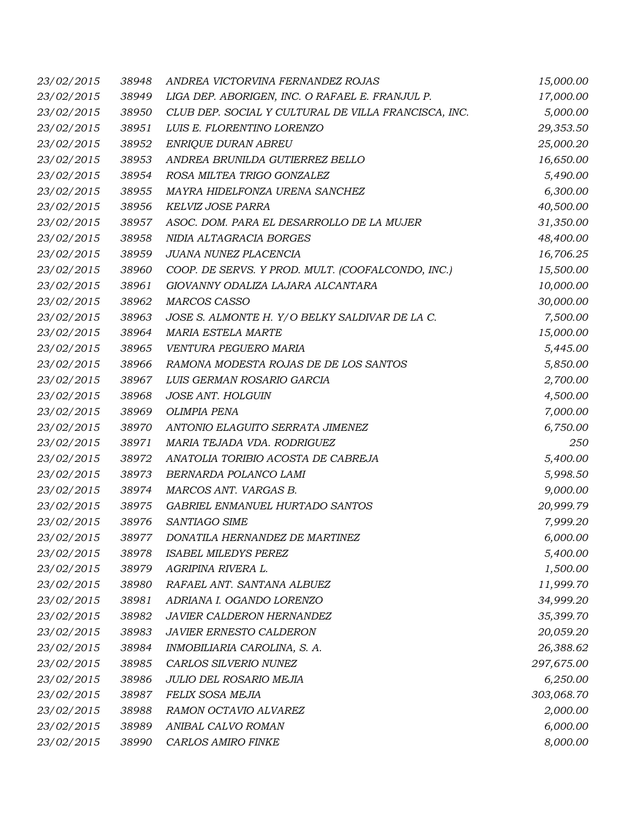| 23/02/2015 | 38948 | ANDREA VICTORVINA FERNANDEZ ROJAS                    | 15,000.00  |
|------------|-------|------------------------------------------------------|------------|
| 23/02/2015 | 38949 | LIGA DEP. ABORIGEN, INC. O RAFAEL E. FRANJUL P.      | 17,000.00  |
| 23/02/2015 | 38950 | CLUB DEP. SOCIAL Y CULTURAL DE VILLA FRANCISCA, INC. | 5,000.00   |
| 23/02/2015 | 38951 | LUIS E. FLORENTINO LORENZO                           | 29,353.50  |
| 23/02/2015 | 38952 | <b>ENRIQUE DURAN ABREU</b>                           | 25,000.20  |
| 23/02/2015 | 38953 | ANDREA BRUNILDA GUTIERREZ BELLO                      | 16,650.00  |
| 23/02/2015 | 38954 | ROSA MILTEA TRIGO GONZALEZ                           | 5,490.00   |
| 23/02/2015 | 38955 | MAYRA HIDELFONZA URENA SANCHEZ                       | 6,300.00   |
| 23/02/2015 | 38956 | KELVIZ JOSE PARRA                                    | 40,500.00  |
| 23/02/2015 | 38957 | ASOC. DOM. PARA EL DESARROLLO DE LA MUJER            | 31,350.00  |
| 23/02/2015 | 38958 | NIDIA ALTAGRACIA BORGES                              | 48,400.00  |
| 23/02/2015 | 38959 | JUANA NUNEZ PLACENCIA                                | 16,706.25  |
| 23/02/2015 | 38960 | COOP. DE SERVS. Y PROD. MULT. (COOFALCONDO, INC.)    | 15,500.00  |
| 23/02/2015 | 38961 | GIOVANNY ODALIZA LAJARA ALCANTARA                    | 10,000.00  |
| 23/02/2015 | 38962 | <b>MARCOS CASSO</b>                                  | 30,000.00  |
| 23/02/2015 | 38963 | JOSE S. ALMONTE H. Y/O BELKY SALDIVAR DE LA C.       | 7,500.00   |
| 23/02/2015 | 38964 | MARIA ESTELA MARTE                                   | 15,000.00  |
| 23/02/2015 | 38965 | VENTURA PEGUERO MARIA                                | 5,445.00   |
| 23/02/2015 | 38966 | RAMONA MODESTA ROJAS DE DE LOS SANTOS                | 5,850.00   |
| 23/02/2015 | 38967 | LUIS GERMAN ROSARIO GARCIA                           | 2,700.00   |
| 23/02/2015 | 38968 | <b>JOSE ANT. HOLGUIN</b>                             | 4,500.00   |
| 23/02/2015 | 38969 | <b>OLIMPIA PENA</b>                                  | 7,000.00   |
| 23/02/2015 | 38970 | ANTONIO ELAGUITO SERRATA JIMENEZ                     | 6,750.00   |
| 23/02/2015 | 38971 | MARIA TEJADA VDA. RODRIGUEZ                          | 250        |
| 23/02/2015 | 38972 | ANATOLIA TORIBIO ACOSTA DE CABREJA                   | 5,400.00   |
| 23/02/2015 | 38973 | BERNARDA POLANCO LAMI                                | 5,998.50   |
| 23/02/2015 | 38974 | MARCOS ANT. VARGAS B.                                | 9,000.00   |
| 23/02/2015 | 38975 | GABRIEL ENMANUEL HURTADO SANTOS                      | 20,999.79  |
| 23/02/2015 | 38976 | SANTIAGO SIME                                        | 7,999.20   |
| 23/02/2015 |       | 38977 DONATILA HERNANDEZ DE MARTINEZ                 | 6,000.00   |
| 23/02/2015 | 38978 | <b>ISABEL MILEDYS PEREZ</b>                          | 5,400.00   |
| 23/02/2015 | 38979 | AGRIPINA RIVERA L.                                   | 1,500.00   |
| 23/02/2015 | 38980 | RAFAEL ANT. SANTANA ALBUEZ                           | 11,999.70  |
| 23/02/2015 | 38981 | ADRIANA I. OGANDO LORENZO                            | 34,999.20  |
| 23/02/2015 | 38982 | JAVIER CALDERON HERNANDEZ                            | 35,399.70  |
| 23/02/2015 | 38983 | <b>JAVIER ERNESTO CALDERON</b>                       | 20,059.20  |
| 23/02/2015 | 38984 | INMOBILIARIA CAROLINA, S. A.                         | 26,388.62  |
| 23/02/2015 | 38985 | CARLOS SILVERIO NUNEZ                                | 297,675.00 |
| 23/02/2015 | 38986 | JULIO DEL ROSARIO MEJIA                              | 6,250.00   |
| 23/02/2015 | 38987 | FELIX SOSA MEJIA                                     | 303,068.70 |
| 23/02/2015 | 38988 | RAMON OCTAVIO ALVAREZ                                | 2,000.00   |
| 23/02/2015 | 38989 | ANIBAL CALVO ROMAN                                   | 6,000.00   |
| 23/02/2015 | 38990 | CARLOS AMIRO FINKE                                   | 8,000.00   |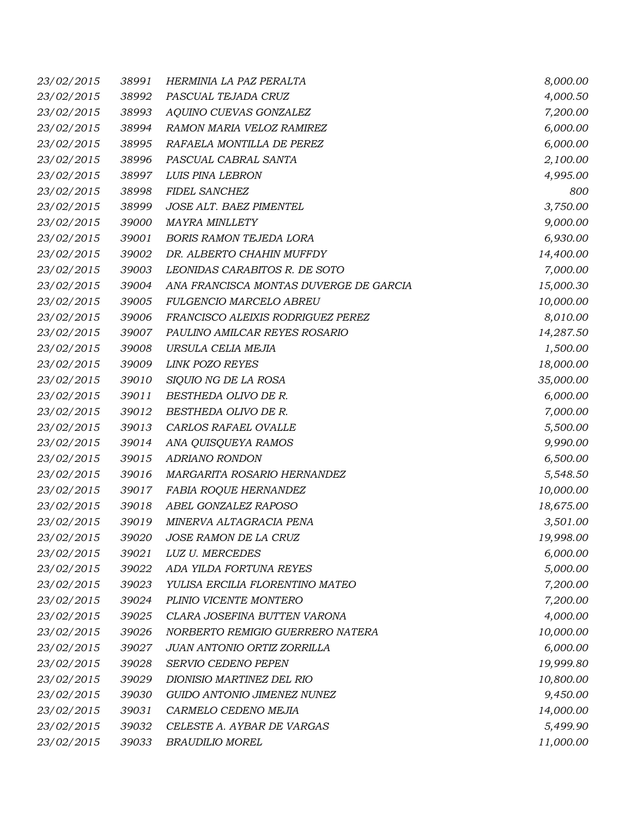| 23/02/2015 | 38991 | HERMINIA LA PAZ PERALTA                | 8,000.00  |
|------------|-------|----------------------------------------|-----------|
| 23/02/2015 | 38992 | PASCUAL TEJADA CRUZ                    | 4,000.50  |
| 23/02/2015 | 38993 | AQUINO CUEVAS GONZALEZ                 | 7,200.00  |
| 23/02/2015 | 38994 | RAMON MARIA VELOZ RAMIREZ              | 6,000.00  |
| 23/02/2015 | 38995 | RAFAELA MONTILLA DE PEREZ              | 6,000.00  |
| 23/02/2015 | 38996 | PASCUAL CABRAL SANTA                   | 2,100.00  |
| 23/02/2015 | 38997 | LUIS PINA LEBRON                       | 4,995.00  |
| 23/02/2015 | 38998 | FIDEL SANCHEZ                          | 800       |
| 23/02/2015 | 38999 | JOSE ALT. BAEZ PIMENTEL                | 3,750.00  |
| 23/02/2015 | 39000 | <b>MAYRA MINLLETY</b>                  | 9,000.00  |
| 23/02/2015 | 39001 | <b>BORIS RAMON TEJEDA LORA</b>         | 6,930.00  |
| 23/02/2015 | 39002 | DR. ALBERTO CHAHIN MUFFDY              | 14,400.00 |
| 23/02/2015 | 39003 | LEONIDAS CARABITOS R. DE SOTO          | 7,000.00  |
| 23/02/2015 | 39004 | ANA FRANCISCA MONTAS DUVERGE DE GARCIA | 15,000.30 |
| 23/02/2015 | 39005 | FULGENCIO MARCELO ABREU                | 10,000.00 |
| 23/02/2015 | 39006 | FRANCISCO ALEIXIS RODRIGUEZ PEREZ      | 8,010.00  |
| 23/02/2015 | 39007 | PAULINO AMILCAR REYES ROSARIO          | 14,287.50 |
| 23/02/2015 | 39008 | URSULA CELIA MEJIA                     | 1,500.00  |
| 23/02/2015 | 39009 | <b>LINK POZO REYES</b>                 | 18,000.00 |
| 23/02/2015 | 39010 | SIQUIO NG DE LA ROSA                   | 35,000.00 |
| 23/02/2015 | 39011 | BESTHEDA OLIVO DE R.                   | 6,000.00  |
| 23/02/2015 | 39012 | BESTHEDA OLIVO DE R.                   | 7,000.00  |
| 23/02/2015 | 39013 | CARLOS RAFAEL OVALLE                   | 5,500.00  |
| 23/02/2015 | 39014 | ANA QUISQUEYA RAMOS                    | 9,990.00  |
| 23/02/2015 | 39015 | <b>ADRIANO RONDON</b>                  | 6,500.00  |
| 23/02/2015 | 39016 | MARGARITA ROSARIO HERNANDEZ            | 5,548.50  |
| 23/02/2015 | 39017 | FABIA ROQUE HERNANDEZ                  | 10,000.00 |
| 23/02/2015 | 39018 | ABEL GONZALEZ RAPOSO                   | 18,675.00 |
| 23/02/2015 | 39019 | MINERVA ALTAGRACIA PENA                | 3,501.00  |
| 23/02/2015 | 39020 | JOSE RAMON DE LA CRUZ                  | 19,998.00 |
| 23/02/2015 | 39021 | LUZ U. MERCEDES                        | 6,000.00  |
| 23/02/2015 | 39022 | ADA YILDA FORTUNA REYES                | 5,000.00  |
| 23/02/2015 | 39023 | YULISA ERCILIA FLORENTINO MATEO        | 7,200.00  |
| 23/02/2015 | 39024 | PLINIO VICENTE MONTERO                 | 7,200.00  |
| 23/02/2015 | 39025 | CLARA JOSEFINA BUTTEN VARONA           | 4,000.00  |
| 23/02/2015 | 39026 | NORBERTO REMIGIO GUERRERO NATERA       | 10,000.00 |
| 23/02/2015 | 39027 | JUAN ANTONIO ORTIZ ZORRILLA            | 6,000.00  |
| 23/02/2015 | 39028 | SERVIO CEDENO PEPEN                    | 19,999.80 |
| 23/02/2015 | 39029 | DIONISIO MARTINEZ DEL RIO              | 10,800.00 |
| 23/02/2015 | 39030 | GUIDO ANTONIO JIMENEZ NUNEZ            | 9,450.00  |
| 23/02/2015 | 39031 | CARMELO CEDENO MEJIA                   | 14,000.00 |
| 23/02/2015 | 39032 | CELESTE A. AYBAR DE VARGAS             | 5,499.90  |
| 23/02/2015 | 39033 | <b>BRAUDILIO MOREL</b>                 | 11,000.00 |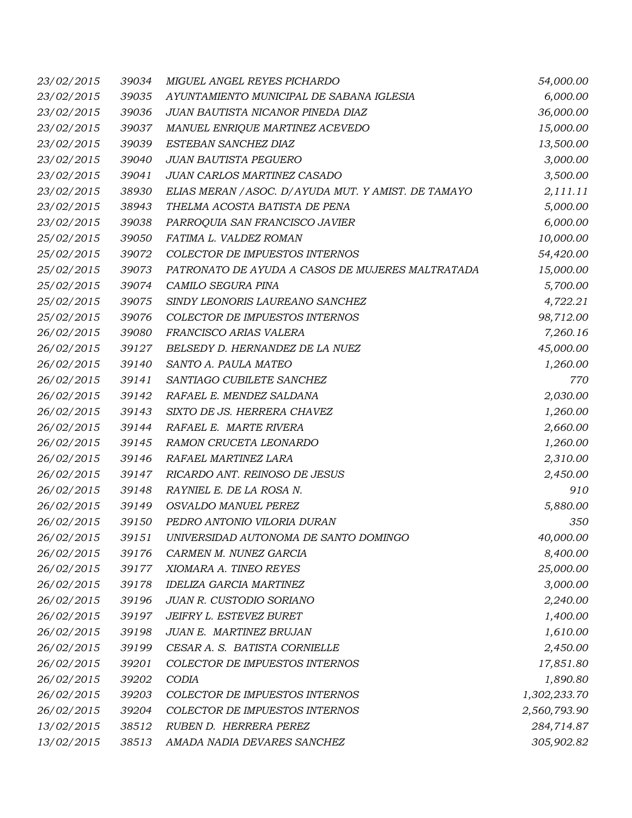| 23/02/2015 | 39034 | MIGUEL ANGEL REYES PICHARDO                          | 54,000.00    |
|------------|-------|------------------------------------------------------|--------------|
| 23/02/2015 | 39035 | AYUNTAMIENTO MUNICIPAL DE SABANA IGLESIA             | 6,000.00     |
| 23/02/2015 | 39036 | JUAN BAUTISTA NICANOR PINEDA DIAZ                    | 36,000.00    |
| 23/02/2015 | 39037 | MANUEL ENRIQUE MARTINEZ ACEVEDO                      | 15,000.00    |
| 23/02/2015 | 39039 | ESTEBAN SANCHEZ DIAZ                                 | 13,500.00    |
| 23/02/2015 | 39040 | <b>JUAN BAUTISTA PEGUERO</b>                         | 3,000.00     |
| 23/02/2015 | 39041 | JUAN CARLOS MARTINEZ CASADO                          | 3,500.00     |
| 23/02/2015 | 38930 | ELIAS MERAN / ASOC. D/ AYUDA MUT. Y AMIST. DE TAMAYO | 2,111.11     |
| 23/02/2015 | 38943 | THELMA ACOSTA BATISTA DE PENA                        | 5,000.00     |
| 23/02/2015 | 39038 | PARROQUIA SAN FRANCISCO JAVIER                       | 6,000.00     |
| 25/02/2015 | 39050 | FATIMA L. VALDEZ ROMAN                               | 10,000.00    |
| 25/02/2015 | 39072 | COLECTOR DE IMPUESTOS INTERNOS                       | 54,420.00    |
| 25/02/2015 | 39073 | PATRONATO DE AYUDA A CASOS DE MUJERES MALTRATADA     | 15,000.00    |
| 25/02/2015 | 39074 | CAMILO SEGURA PINA                                   | 5,700.00     |
| 25/02/2015 | 39075 | SINDY LEONORIS LAUREANO SANCHEZ                      | 4,722.21     |
| 25/02/2015 | 39076 | COLECTOR DE IMPUESTOS INTERNOS                       | 98,712.00    |
| 26/02/2015 | 39080 | FRANCISCO ARIAS VALERA                               | 7,260.16     |
| 26/02/2015 | 39127 | BELSEDY D. HERNANDEZ DE LA NUEZ                      | 45,000.00    |
| 26/02/2015 | 39140 | SANTO A. PAULA MATEO                                 | 1,260.00     |
| 26/02/2015 | 39141 | SANTIAGO CUBILETE SANCHEZ                            | 770          |
| 26/02/2015 | 39142 | RAFAEL E. MENDEZ SALDANA                             | 2,030.00     |
| 26/02/2015 | 39143 | SIXTO DE JS. HERRERA CHAVEZ                          | 1,260.00     |
| 26/02/2015 | 39144 | RAFAEL E. MARTE RIVERA                               | 2,660.00     |
| 26/02/2015 | 39145 | RAMON CRUCETA LEONARDO                               | 1,260.00     |
| 26/02/2015 | 39146 | RAFAEL MARTINEZ LARA                                 | 2,310.00     |
| 26/02/2015 | 39147 | RICARDO ANT. REINOSO DE JESUS                        | 2,450.00     |
| 26/02/2015 | 39148 | RAYNIEL E. DE LA ROSA N.                             | 910          |
| 26/02/2015 | 39149 | OSVALDO MANUEL PEREZ                                 | 5,880.00     |
| 26/02/2015 | 39150 | PEDRO ANTONIO VILORIA DURAN                          | 350          |
| 26/02/2015 |       | 39151 UNIVERSIDAD AUTONOMA DE SANTO DOMINGO          | 40,000.00    |
| 26/02/2015 | 39176 | CARMEN M. NUNEZ GARCIA                               | 8,400.00     |
| 26/02/2015 | 39177 | XIOMARA A. TINEO REYES                               | 25,000.00    |
| 26/02/2015 | 39178 | <b>IDELIZA GARCIA MARTINEZ</b>                       | 3,000.00     |
| 26/02/2015 | 39196 | JUAN R. CUSTODIO SORIANO                             | 2,240.00     |
| 26/02/2015 | 39197 | JEIFRY L. ESTEVEZ BURET                              | 1,400.00     |
| 26/02/2015 | 39198 | JUAN E. MARTINEZ BRUJAN                              | 1,610.00     |
| 26/02/2015 | 39199 | CESAR A. S. BATISTA CORNIELLE                        | 2,450.00     |
| 26/02/2015 | 39201 | COLECTOR DE IMPUESTOS INTERNOS                       | 17,851.80    |
| 26/02/2015 | 39202 | <b>CODIA</b>                                         | 1,890.80     |
| 26/02/2015 | 39203 | COLECTOR DE IMPUESTOS INTERNOS                       | 1,302,233.70 |
| 26/02/2015 | 39204 | COLECTOR DE IMPUESTOS INTERNOS                       | 2,560,793.90 |
| 13/02/2015 | 38512 | RUBEN D. HERRERA PEREZ                               | 284,714.87   |
| 13/02/2015 | 38513 | AMADA NADIA DEVARES SANCHEZ                          | 305,902.82   |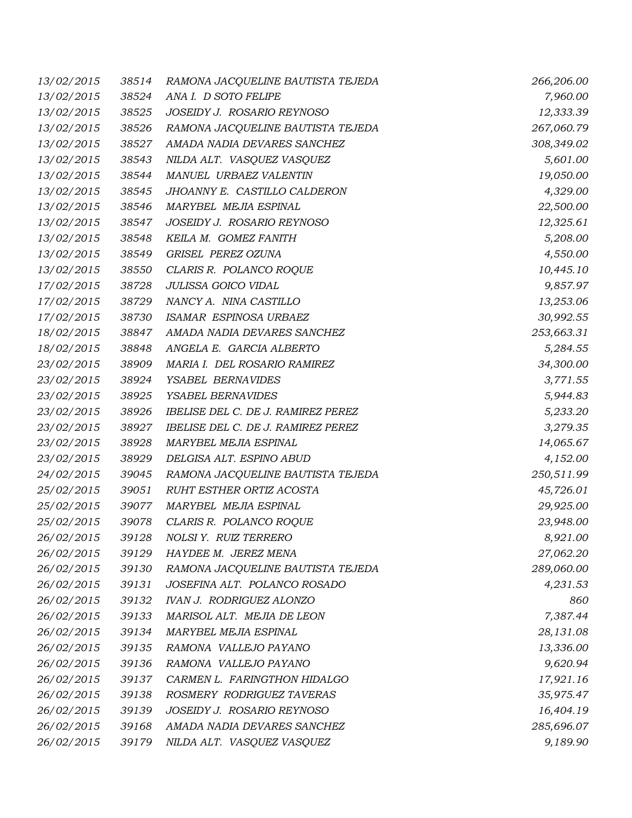| 13/02/2015 | 38514 | RAMONA JACQUELINE BAUTISTA TEJEDA  | 266,206.00 |
|------------|-------|------------------------------------|------------|
| 13/02/2015 | 38524 | ANA I. D SOTO FELIPE               | 7,960.00   |
| 13/02/2015 | 38525 | JOSEIDY J. ROSARIO REYNOSO         | 12,333.39  |
| 13/02/2015 | 38526 | RAMONA JACQUELINE BAUTISTA TEJEDA  | 267,060.79 |
| 13/02/2015 | 38527 | AMADA NADIA DEVARES SANCHEZ        | 308,349.02 |
| 13/02/2015 | 38543 | NILDA ALT. VASQUEZ VASQUEZ         | 5,601.00   |
| 13/02/2015 | 38544 | MANUEL URBAEZ VALENTIN             | 19,050.00  |
| 13/02/2015 | 38545 | JHOANNY E. CASTILLO CALDERON       | 4,329.00   |
| 13/02/2015 | 38546 | MARYBEL MEJIA ESPINAL              | 22,500.00  |
| 13/02/2015 | 38547 | JOSEIDY J. ROSARIO REYNOSO         | 12,325.61  |
| 13/02/2015 | 38548 | KEILA M. GOMEZ FANITH              | 5,208.00   |
| 13/02/2015 | 38549 | GRISEL PEREZ OZUNA                 | 4,550.00   |
| 13/02/2015 | 38550 | CLARIS R. POLANCO ROQUE            | 10,445.10  |
| 17/02/2015 | 38728 | JULISSA GOICO VIDAL                | 9,857.97   |
| 17/02/2015 | 38729 | NANCY A. NINA CASTILLO             | 13,253.06  |
| 17/02/2015 | 38730 | ISAMAR ESPINOSA URBAEZ             | 30,992.55  |
| 18/02/2015 | 38847 | AMADA NADIA DEVARES SANCHEZ        | 253,663.31 |
| 18/02/2015 | 38848 | ANGELA E. GARCIA ALBERTO           | 5,284.55   |
| 23/02/2015 | 38909 | MARIA I. DEL ROSARIO RAMIREZ       | 34,300.00  |
| 23/02/2015 | 38924 | YSABEL BERNAVIDES                  | 3,771.55   |
| 23/02/2015 | 38925 | YSABEL BERNAVIDES                  | 5,944.83   |
| 23/02/2015 | 38926 | IBELISE DEL C. DE J. RAMIREZ PEREZ | 5,233.20   |
| 23/02/2015 | 38927 | IBELISE DEL C. DE J. RAMIREZ PEREZ | 3,279.35   |
| 23/02/2015 | 38928 | MARYBEL MEJIA ESPINAL              | 14,065.67  |
| 23/02/2015 | 38929 | DELGISA ALT. ESPINO ABUD           | 4,152.00   |
| 24/02/2015 | 39045 | RAMONA JACQUELINE BAUTISTA TEJEDA  | 250,511.99 |
| 25/02/2015 | 39051 | RUHT ESTHER ORTIZ ACOSTA           | 45,726.01  |
| 25/02/2015 | 39077 | MARYBEL MEJIA ESPINAL              | 29,925.00  |
| 25/02/2015 | 39078 | CLARIS R. POLANCO ROQUE            | 23,948.00  |
| 26/02/2015 |       | 39128 NOLSI Y. RUIZ TERRERO        | 8,921.00   |
| 26/02/2015 | 39129 | HAYDEE M. JEREZ MENA               | 27,062.20  |
| 26/02/2015 | 39130 | RAMONA JACQUELINE BAUTISTA TEJEDA  | 289,060.00 |
| 26/02/2015 | 39131 | JOSEFINA ALT. POLANCO ROSADO       | 4,231.53   |
| 26/02/2015 | 39132 | <b>IVAN J. RODRIGUEZ ALONZO</b>    | 860        |
| 26/02/2015 | 39133 | MARISOL ALT. MEJIA DE LEON         | 7,387.44   |
| 26/02/2015 | 39134 | MARYBEL MEJIA ESPINAL              | 28,131.08  |
| 26/02/2015 | 39135 | RAMONA VALLEJO PAYANO              | 13,336.00  |
| 26/02/2015 | 39136 | RAMONA VALLEJO PAYANO              | 9,620.94   |
| 26/02/2015 | 39137 | CARMEN L. FARINGTHON HIDALGO       | 17,921.16  |
| 26/02/2015 | 39138 | ROSMERY RODRIGUEZ TAVERAS          | 35,975.47  |
| 26/02/2015 | 39139 | JOSEIDY J. ROSARIO REYNOSO         | 16,404.19  |
| 26/02/2015 | 39168 | AMADA NADIA DEVARES SANCHEZ        | 285,696.07 |
| 26/02/2015 | 39179 | NILDA ALT. VASQUEZ VASQUEZ         | 9,189.90   |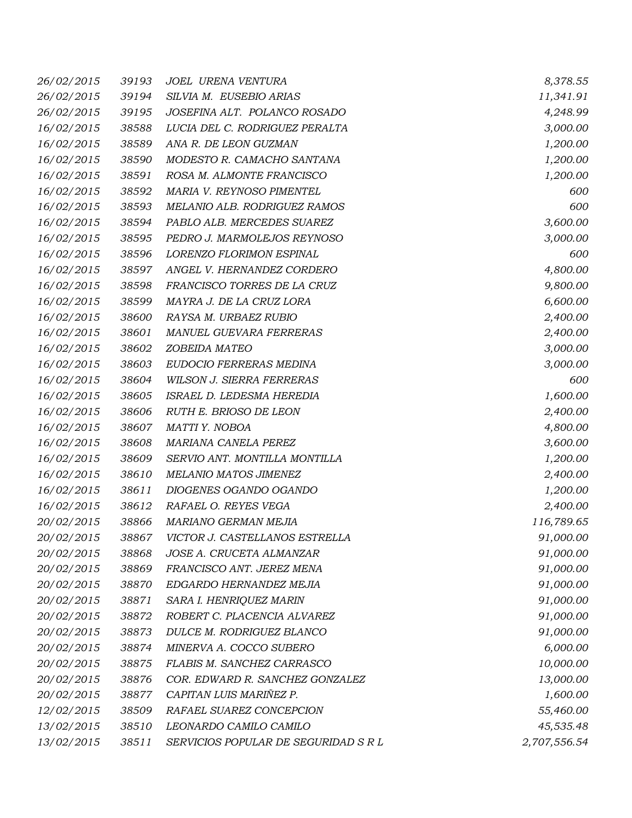| 26/02/2015 | 39193 | JOEL URENA VENTURA                   | 8,378.55     |
|------------|-------|--------------------------------------|--------------|
| 26/02/2015 | 39194 | SILVIA M. EUSEBIO ARIAS              | 11,341.91    |
| 26/02/2015 | 39195 | JOSEFINA ALT. POLANCO ROSADO         | 4,248.99     |
| 16/02/2015 | 38588 | LUCIA DEL C. RODRIGUEZ PERALTA       | 3,000.00     |
| 16/02/2015 | 38589 | ANA R. DE LEON GUZMAN                | 1,200.00     |
| 16/02/2015 | 38590 | MODESTO R. CAMACHO SANTANA           | 1,200.00     |
| 16/02/2015 | 38591 | ROSA M. ALMONTE FRANCISCO            | 1,200.00     |
| 16/02/2015 | 38592 | MARIA V. REYNOSO PIMENTEL            | 600          |
| 16/02/2015 | 38593 | MELANIO ALB. RODRIGUEZ RAMOS         | 600          |
| 16/02/2015 | 38594 | PABLO ALB. MERCEDES SUAREZ           | 3,600.00     |
| 16/02/2015 | 38595 | PEDRO J. MARMOLEJOS REYNOSO          | 3,000.00     |
| 16/02/2015 | 38596 | LORENZO FLORIMON ESPINAL             | 600          |
| 16/02/2015 | 38597 | ANGEL V. HERNANDEZ CORDERO           | 4,800.00     |
| 16/02/2015 | 38598 | FRANCISCO TORRES DE LA CRUZ          | 9,800.00     |
| 16/02/2015 | 38599 | MAYRA J. DE LA CRUZ LORA             | 6,600.00     |
| 16/02/2015 | 38600 | RAYSA M. URBAEZ RUBIO                | 2,400.00     |
| 16/02/2015 | 38601 | MANUEL GUEVARA FERRERAS              | 2,400.00     |
| 16/02/2015 | 38602 | ZOBEIDA MATEO                        | 3,000.00     |
| 16/02/2015 | 38603 | EUDOCIO FERRERAS MEDINA              | 3,000.00     |
| 16/02/2015 | 38604 | WILSON J. SIERRA FERRERAS            | 600          |
| 16/02/2015 | 38605 | ISRAEL D. LEDESMA HEREDIA            | 1,600.00     |
| 16/02/2015 | 38606 | RUTH E. BRIOSO DE LEON               | 2,400.00     |
| 16/02/2015 | 38607 | MATTI Y. NOBOA                       | 4,800.00     |
| 16/02/2015 | 38608 | MARIANA CANELA PEREZ                 | 3,600.00     |
| 16/02/2015 | 38609 | SERVIO ANT. MONTILLA MONTILLA        | 1,200.00     |
| 16/02/2015 | 38610 | MELANIO MATOS JIMENEZ                | 2,400.00     |
| 16/02/2015 | 38611 | DIOGENES OGANDO OGANDO               | 1,200.00     |
| 16/02/2015 | 38612 | RAFAEL O. REYES VEGA                 | 2,400.00     |
| 20/02/2015 | 38866 | MARIANO GERMAN MEJIA                 | 116,789.65   |
| 20/02/2015 |       | 38867 VICTOR J. CASTELLANOS ESTRELLA | 91,000.00    |
| 20/02/2015 | 38868 | JOSE A. CRUCETA ALMANZAR             | 91,000.00    |
| 20/02/2015 | 38869 | FRANCISCO ANT. JEREZ MENA            | 91,000.00    |
| 20/02/2015 | 38870 | EDGARDO HERNANDEZ MEJIA              | 91,000.00    |
| 20/02/2015 | 38871 | SARA I. HENRIQUEZ MARIN              | 91,000.00    |
| 20/02/2015 | 38872 | ROBERT C. PLACENCIA ALVAREZ          | 91,000.00    |
| 20/02/2015 | 38873 | DULCE M. RODRIGUEZ BLANCO            | 91,000.00    |
| 20/02/2015 | 38874 | MINERVA A. COCCO SUBERO              | 6,000.00     |
| 20/02/2015 | 38875 | FLABIS M. SANCHEZ CARRASCO           | 10,000.00    |
| 20/02/2015 | 38876 | COR. EDWARD R. SANCHEZ GONZALEZ      | 13,000.00    |
| 20/02/2015 | 38877 | CAPITAN LUIS MARIÑEZ P.              | 1,600.00     |
| 12/02/2015 | 38509 | RAFAEL SUAREZ CONCEPCION             | 55,460.00    |
| 13/02/2015 | 38510 | LEONARDO CAMILO CAMILO               | 45,535.48    |
| 13/02/2015 | 38511 | SERVICIOS POPULAR DE SEGURIDAD S R L | 2,707,556.54 |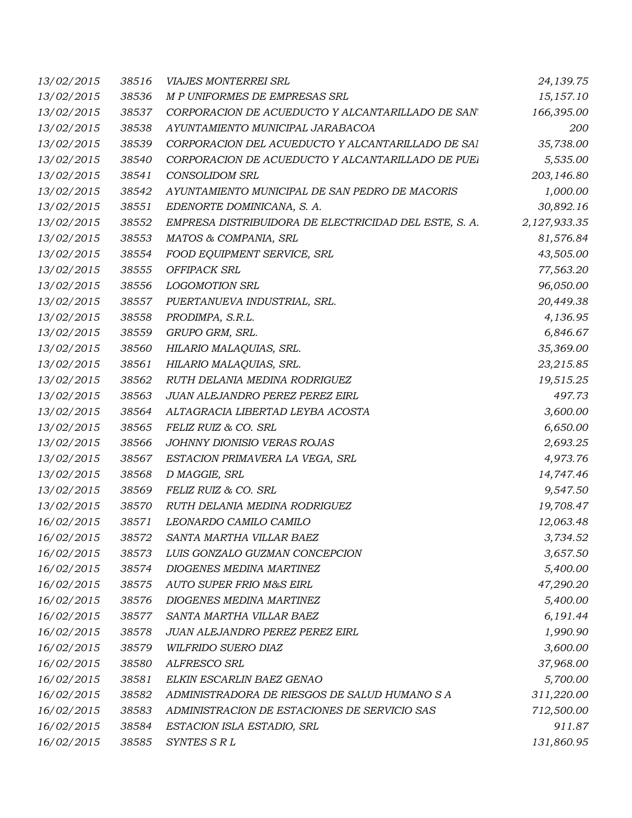| 13/02/2015 | 38516 | <b>VIAJES MONTERREI SRL</b>                           | 24,139.75    |
|------------|-------|-------------------------------------------------------|--------------|
| 13/02/2015 | 38536 | M P UNIFORMES DE EMPRESAS SRL                         | 15,157.10    |
| 13/02/2015 | 38537 | CORPORACION DE ACUEDUCTO Y ALCANTARILLADO DE SAN'     | 166,395.00   |
| 13/02/2015 | 38538 | AYUNTAMIENTO MUNICIPAL JARABACOA                      | <i>200</i>   |
| 13/02/2015 | 38539 | CORPORACION DEL ACUEDUCTO Y ALCANTARILLADO DE SAI     | 35,738.00    |
| 13/02/2015 | 38540 | CORPORACION DE ACUEDUCTO Y ALCANTARILLADO DE PUEI     | 5,535.00     |
| 13/02/2015 | 38541 | <b>CONSOLIDOM SRL</b>                                 | 203,146.80   |
| 13/02/2015 | 38542 | AYUNTAMIENTO MUNICIPAL DE SAN PEDRO DE MACORIS        | 1,000.00     |
| 13/02/2015 | 38551 | EDENORTE DOMINICANA, S. A.                            | 30,892.16    |
| 13/02/2015 | 38552 | EMPRESA DISTRIBUIDORA DE ELECTRICIDAD DEL ESTE, S. A. | 2,127,933.35 |
| 13/02/2015 | 38553 | MATOS & COMPANIA, SRL                                 | 81,576.84    |
| 13/02/2015 | 38554 | FOOD EQUIPMENT SERVICE, SRL                           | 43,505.00    |
| 13/02/2015 | 38555 | OFFIPACK SRL                                          | 77,563.20    |
| 13/02/2015 | 38556 | <b>LOGOMOTION SRL</b>                                 | 96,050.00    |
| 13/02/2015 | 38557 | PUERTANUEVA INDUSTRIAL, SRL.                          | 20,449.38    |
| 13/02/2015 | 38558 | PRODIMPA, S.R.L.                                      | 4,136.95     |
| 13/02/2015 | 38559 | GRUPO GRM, SRL.                                       | 6,846.67     |
| 13/02/2015 | 38560 | HILARIO MALAQUIAS, SRL.                               | 35,369.00    |
| 13/02/2015 | 38561 | HILARIO MALAQUIAS, SRL.                               | 23,215.85    |
| 13/02/2015 | 38562 | RUTH DELANIA MEDINA RODRIGUEZ                         | 19,515.25    |
| 13/02/2015 | 38563 | JUAN ALEJANDRO PEREZ PEREZ EIRL                       | 497.73       |
| 13/02/2015 | 38564 | ALTAGRACIA LIBERTAD LEYBA ACOSTA                      | 3,600.00     |
| 13/02/2015 | 38565 | FELIZ RUIZ & CO. SRL                                  | 6,650.00     |
| 13/02/2015 | 38566 | JOHNNY DIONISIO VERAS ROJAS                           | 2,693.25     |
| 13/02/2015 | 38567 | ESTACION PRIMAVERA LA VEGA, SRL                       | 4,973.76     |
| 13/02/2015 | 38568 | D MAGGIE, SRL                                         | 14,747.46    |
| 13/02/2015 | 38569 | FELIZ RUIZ & CO. SRL                                  | 9,547.50     |
| 13/02/2015 | 38570 | RUTH DELANIA MEDINA RODRIGUEZ                         | 19,708.47    |
| 16/02/2015 | 38571 | LEONARDO CAMILO CAMILO                                | 12,063.48    |
| 16/02/2015 | 38572 | SANTA MARTHA VILLAR BAEZ                              | 3,734.52     |
| 16/02/2015 | 38573 | LUIS GONZALO GUZMAN CONCEPCION                        | 3,657.50     |
| 16/02/2015 | 38574 | DIOGENES MEDINA MARTINEZ                              | 5,400.00     |
| 16/02/2015 | 38575 | <b>AUTO SUPER FRIO M&amp;S EIRL</b>                   | 47,290.20    |
| 16/02/2015 | 38576 | DIOGENES MEDINA MARTINEZ                              | 5,400.00     |
| 16/02/2015 | 38577 | SANTA MARTHA VILLAR BAEZ                              | 6,191.44     |
| 16/02/2015 | 38578 | JUAN ALEJANDRO PEREZ PEREZ EIRL                       | 1,990.90     |
| 16/02/2015 | 38579 | WILFRIDO SUERO DIAZ                                   | 3,600.00     |
| 16/02/2015 | 38580 | ALFRESCO SRL                                          | 37,968.00    |
| 16/02/2015 | 38581 | ELKIN ESCARLIN BAEZ GENAO                             | 5,700.00     |
| 16/02/2015 | 38582 | ADMINISTRADORA DE RIESGOS DE SALUD HUMANO S A         | 311,220.00   |
| 16/02/2015 | 38583 | ADMINISTRACION DE ESTACIONES DE SERVICIO SAS          | 712,500.00   |
| 16/02/2015 | 38584 | ESTACION ISLA ESTADIO, SRL                            | 911.87       |
| 16/02/2015 | 38585 | SYNTES S R L                                          | 131,860.95   |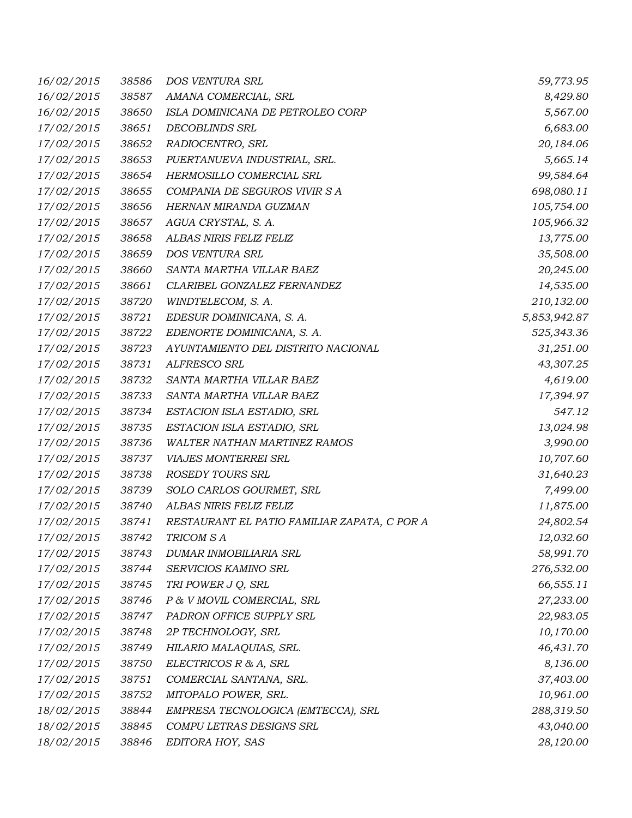| 16/02/2015 | 38586 | DOS VENTURA SRL                              | 59,773.95    |
|------------|-------|----------------------------------------------|--------------|
| 16/02/2015 | 38587 | AMANA COMERCIAL, SRL                         | 8,429.80     |
| 16/02/2015 | 38650 | ISLA DOMINICANA DE PETROLEO CORP             | 5,567.00     |
| 17/02/2015 | 38651 | DECOBLINDS SRL                               | 6,683.00     |
| 17/02/2015 | 38652 | RADIOCENTRO, SRL                             | 20,184.06    |
| 17/02/2015 | 38653 | PUERTANUEVA INDUSTRIAL, SRL.                 | 5,665.14     |
| 17/02/2015 | 38654 | HERMOSILLO COMERCIAL SRL                     | 99,584.64    |
| 17/02/2015 | 38655 | COMPANIA DE SEGUROS VIVIR SA                 | 698,080.11   |
| 17/02/2015 | 38656 | HERNAN MIRANDA GUZMAN                        | 105,754.00   |
| 17/02/2015 | 38657 | AGUA CRYSTAL, S. A.                          | 105,966.32   |
| 17/02/2015 | 38658 | ALBAS NIRIS FELIZ FELIZ                      | 13,775.00    |
| 17/02/2015 | 38659 | DOS VENTURA SRL                              | 35,508.00    |
| 17/02/2015 | 38660 | SANTA MARTHA VILLAR BAEZ                     | 20,245.00    |
| 17/02/2015 | 38661 | CLARIBEL GONZALEZ FERNANDEZ                  | 14,535.00    |
| 17/02/2015 | 38720 | WINDTELECOM, S. A.                           | 210,132.00   |
| 17/02/2015 | 38721 | EDESUR DOMINICANA, S. A.                     | 5,853,942.87 |
| 17/02/2015 | 38722 | EDENORTE DOMINICANA, S. A.                   | 525,343.36   |
| 17/02/2015 | 38723 | AYUNTAMIENTO DEL DISTRITO NACIONAL           | 31,251.00    |
| 17/02/2015 | 38731 | ALFRESCO SRL                                 | 43,307.25    |
| 17/02/2015 | 38732 | SANTA MARTHA VILLAR BAEZ                     | 4,619.00     |
| 17/02/2015 | 38733 | SANTA MARTHA VILLAR BAEZ                     | 17,394.97    |
| 17/02/2015 | 38734 | ESTACION ISLA ESTADIO, SRL                   | 547.12       |
| 17/02/2015 | 38735 | ESTACION ISLA ESTADIO, SRL                   | 13,024.98    |
| 17/02/2015 | 38736 | WALTER NATHAN MARTINEZ RAMOS                 | 3,990.00     |
| 17/02/2015 | 38737 | VIAJES MONTERREI SRL                         | 10,707.60    |
| 17/02/2015 | 38738 | ROSEDY TOURS SRL                             | 31,640.23    |
| 17/02/2015 | 38739 | SOLO CARLOS GOURMET, SRL                     | 7,499.00     |
| 17/02/2015 | 38740 | ALBAS NIRIS FELIZ FELIZ                      | 11,875.00    |
| 17/02/2015 | 38741 | RESTAURANT EL PATIO FAMILIAR ZAPATA, C POR A | 24,802.54    |
| 17/02/2015 | 38742 | TRICOM S A                                   | 12,032.60    |
| 17/02/2015 | 38743 | DUMAR INMOBILIARIA SRL                       | 58,991.70    |
| 17/02/2015 | 38744 | SERVICIOS KAMINO SRL                         | 276,532.00   |
| 17/02/2015 | 38745 | TRI POWER J Q, SRL                           | 66,555.11    |
| 17/02/2015 | 38746 | P & V MOVIL COMERCIAL, SRL                   | 27,233.00    |
| 17/02/2015 | 38747 | PADRON OFFICE SUPPLY SRL                     | 22,983.05    |
| 17/02/2015 | 38748 | 2P TECHNOLOGY, SRL                           | 10,170.00    |
| 17/02/2015 | 38749 | HILARIO MALAQUIAS, SRL.                      | 46,431.70    |
| 17/02/2015 | 38750 | ELECTRICOS R & A, SRL                        | 8,136.00     |
| 17/02/2015 | 38751 | COMERCIAL SANTANA, SRL.                      | 37,403.00    |
| 17/02/2015 | 38752 | MITOPALO POWER, SRL.                         | 10,961.00    |
| 18/02/2015 | 38844 | EMPRESA TECNOLOGICA (EMTECCA), SRL           | 288,319.50   |
| 18/02/2015 | 38845 | COMPU LETRAS DESIGNS SRL                     | 43,040.00    |
| 18/02/2015 | 38846 | EDITORA HOY, SAS                             | 28,120.00    |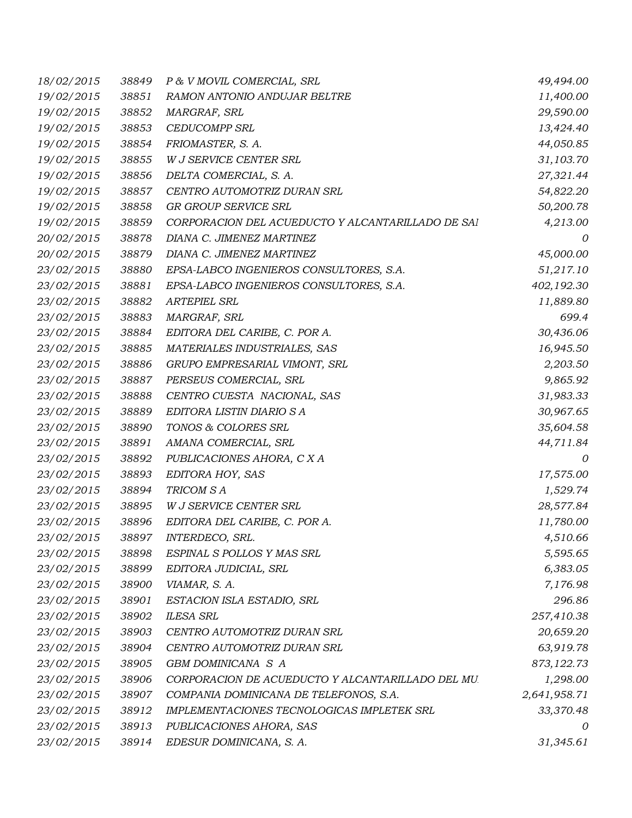| 18/02/2015 | 38849 | P & V MOVIL COMERCIAL, SRL                        | 49,494.00    |
|------------|-------|---------------------------------------------------|--------------|
| 19/02/2015 | 38851 | RAMON ANTONIO ANDUJAR BELTRE                      | 11,400.00    |
| 19/02/2015 | 38852 | MARGRAF, SRL                                      | 29,590.00    |
| 19/02/2015 | 38853 | <b>CEDUCOMPP SRL</b>                              | 13,424.40    |
| 19/02/2015 | 38854 | FRIOMASTER, S. A.                                 | 44,050.85    |
| 19/02/2015 | 38855 | W J SERVICE CENTER SRL                            | 31,103.70    |
| 19/02/2015 | 38856 | DELTA COMERCIAL, S. A.                            | 27,321.44    |
| 19/02/2015 | 38857 | CENTRO AUTOMOTRIZ DURAN SRL                       | 54,822.20    |
| 19/02/2015 | 38858 | GR GROUP SERVICE SRL                              | 50,200.78    |
| 19/02/2015 | 38859 | CORPORACION DEL ACUEDUCTO Y ALCANTARILLADO DE SAI | 4,213.00     |
| 20/02/2015 | 38878 | DIANA C. JIMENEZ MARTINEZ                         | 0            |
| 20/02/2015 | 38879 | DIANA C. JIMENEZ MARTINEZ                         | 45,000.00    |
| 23/02/2015 | 38880 | EPSA-LABCO INGENIEROS CONSULTORES, S.A.           | 51,217.10    |
| 23/02/2015 | 38881 | EPSA-LABCO INGENIEROS CONSULTORES, S.A.           | 402,192.30   |
| 23/02/2015 | 38882 | ARTEPIEL SRL                                      | 11,889.80    |
| 23/02/2015 | 38883 | MARGRAF, SRL                                      | 699.4        |
| 23/02/2015 | 38884 | EDITORA DEL CARIBE, C. POR A.                     | 30,436.06    |
| 23/02/2015 | 38885 | MATERIALES INDUSTRIALES, SAS                      | 16,945.50    |
| 23/02/2015 | 38886 | GRUPO EMPRESARIAL VIMONT, SRL                     | 2,203.50     |
| 23/02/2015 | 38887 | PERSEUS COMERCIAL, SRL                            | 9,865.92     |
| 23/02/2015 | 38888 | CENTRO CUESTA NACIONAL, SAS                       | 31,983.33    |
| 23/02/2015 | 38889 | EDITORA LISTIN DIARIO S A                         | 30,967.65    |
| 23/02/2015 | 38890 | TONOS & COLORES SRL                               | 35,604.58    |
| 23/02/2015 | 38891 | AMANA COMERCIAL, SRL                              | 44,711.84    |
| 23/02/2015 | 38892 | PUBLICACIONES AHORA, C X A                        | 0            |
| 23/02/2015 | 38893 | EDITORA HOY, SAS                                  | 17,575.00    |
| 23/02/2015 | 38894 | TRICOM S A                                        | 1,529.74     |
| 23/02/2015 | 38895 | W J SERVICE CENTER SRL                            | 28,577.84    |
| 23/02/2015 | 38896 | EDITORA DEL CARIBE, C. POR A.                     | 11,780.00    |
| 23/02/2015 | 38897 | INTERDECO, SRL.                                   | 4,510.66     |
| 23/02/2015 | 38898 | ESPINAL S POLLOS Y MAS SRL                        | 5,595.65     |
| 23/02/2015 | 38899 | EDITORA JUDICIAL, SRL                             | 6,383.05     |
| 23/02/2015 | 38900 | VIAMAR, S. A.                                     | 7,176.98     |
| 23/02/2015 | 38901 | ESTACION ISLA ESTADIO, SRL                        | 296.86       |
| 23/02/2015 | 38902 | <b>ILESA SRL</b>                                  | 257,410.38   |
| 23/02/2015 | 38903 | CENTRO AUTOMOTRIZ DURAN SRL                       | 20,659.20    |
| 23/02/2015 | 38904 | CENTRO AUTOMOTRIZ DURAN SRL                       | 63,919.78    |
| 23/02/2015 | 38905 | GBM DOMINICANA S A                                | 873,122.73   |
| 23/02/2015 | 38906 | CORPORACION DE ACUEDUCTO Y ALCANTARILLADO DEL MU. | 1,298.00     |
| 23/02/2015 | 38907 | COMPANIA DOMINICANA DE TELEFONOS, S.A.            | 2,641,958.71 |
| 23/02/2015 | 38912 | IMPLEMENTACIONES TECNOLOGICAS IMPLETEK SRL        | 33,370.48    |
| 23/02/2015 | 38913 | PUBLICACIONES AHORA, SAS                          | 0            |
| 23/02/2015 | 38914 | EDESUR DOMINICANA, S. A.                          | 31,345.61    |
|            |       |                                                   |              |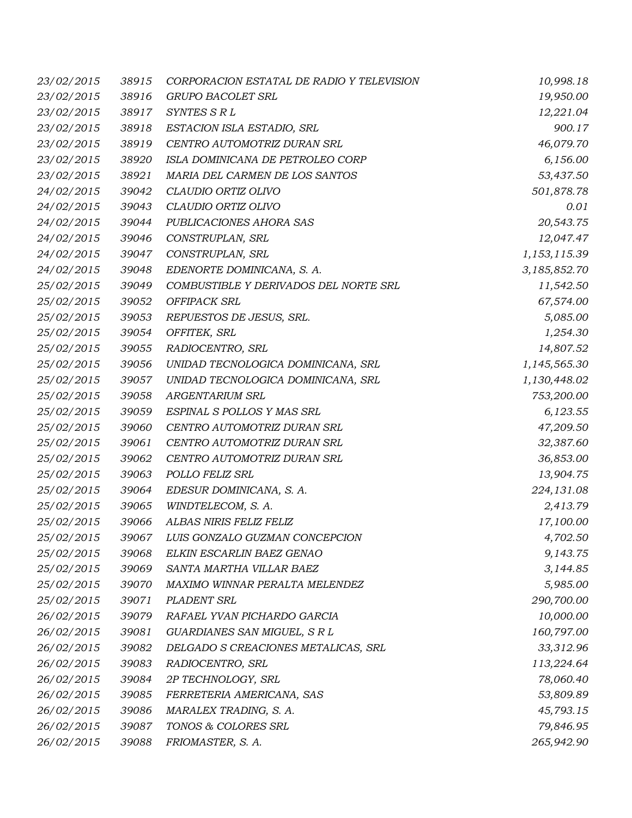| 23/02/2015 | 38915 | CORPORACION ESTATAL DE RADIO Y TELEVISION | 10,998.18    |
|------------|-------|-------------------------------------------|--------------|
| 23/02/2015 | 38916 | GRUPO BACOLET SRL                         | 19,950.00    |
| 23/02/2015 | 38917 | SYNTES S R L                              | 12,221.04    |
| 23/02/2015 | 38918 | ESTACION ISLA ESTADIO, SRL                | 900.17       |
| 23/02/2015 | 38919 | CENTRO AUTOMOTRIZ DURAN SRL               | 46,079.70    |
| 23/02/2015 | 38920 | ISLA DOMINICANA DE PETROLEO CORP          | 6,156.00     |
| 23/02/2015 | 38921 | MARIA DEL CARMEN DE LOS SANTOS            | 53,437.50    |
| 24/02/2015 | 39042 | CLAUDIO ORTIZ OLIVO                       | 501,878.78   |
| 24/02/2015 | 39043 | CLAUDIO ORTIZ OLIVO                       | 0.01         |
| 24/02/2015 | 39044 | PUBLICACIONES AHORA SAS                   | 20,543.75    |
| 24/02/2015 | 39046 | CONSTRUPLAN, SRL                          | 12,047.47    |
| 24/02/2015 | 39047 | CONSTRUPLAN, SRL                          | 1,153,115.39 |
| 24/02/2015 | 39048 | EDENORTE DOMINICANA, S. A.                | 3,185,852.70 |
| 25/02/2015 | 39049 | COMBUSTIBLE Y DERIVADOS DEL NORTE SRL     | 11,542.50    |
| 25/02/2015 | 39052 | OFFIPACK SRL                              | 67,574.00    |
| 25/02/2015 | 39053 | REPUESTOS DE JESUS, SRL.                  | 5,085.00     |
| 25/02/2015 | 39054 | OFFITEK, SRL                              | 1,254.30     |
| 25/02/2015 | 39055 | RADIOCENTRO, SRL                          | 14,807.52    |
| 25/02/2015 | 39056 | UNIDAD TECNOLOGICA DOMINICANA, SRL        | 1,145,565.30 |
| 25/02/2015 | 39057 | UNIDAD TECNOLOGICA DOMINICANA, SRL        | 1,130,448.02 |
| 25/02/2015 | 39058 | <b>ARGENTARIUM SRL</b>                    | 753,200.00   |
| 25/02/2015 | 39059 | ESPINAL S POLLOS Y MAS SRL                | 6,123.55     |
| 25/02/2015 | 39060 | CENTRO AUTOMOTRIZ DURAN SRL               | 47,209.50    |
| 25/02/2015 | 39061 | CENTRO AUTOMOTRIZ DURAN SRL               | 32,387.60    |
| 25/02/2015 | 39062 | CENTRO AUTOMOTRIZ DURAN SRL               | 36,853.00    |
| 25/02/2015 | 39063 | POLLO FELIZ SRL                           | 13,904.75    |
| 25/02/2015 | 39064 | EDESUR DOMINICANA, S. A.                  | 224,131.08   |
| 25/02/2015 | 39065 | WINDTELECOM, S. A.                        | 2,413.79     |
| 25/02/2015 | 39066 | ALBAS NIRIS FELIZ FELIZ                   | 17,100.00    |
| 25/02/2015 |       | 39067 LUIS GONZALO GUZMAN CONCEPCION      | 4,702.50     |
| 25/02/2015 | 39068 | ELKIN ESCARLIN BAEZ GENAO                 | 9,143.75     |
| 25/02/2015 | 39069 | SANTA MARTHA VILLAR BAEZ                  | 3,144.85     |
| 25/02/2015 | 39070 | MAXIMO WINNAR PERALTA MELENDEZ            | 5,985.00     |
| 25/02/2015 | 39071 | PLADENT SRL                               | 290,700.00   |
| 26/02/2015 | 39079 | RAFAEL YVAN PICHARDO GARCIA               | 10,000.00    |
| 26/02/2015 | 39081 | GUARDIANES SAN MIGUEL, S R L              | 160,797.00   |
| 26/02/2015 | 39082 | DELGADO S CREACIONES METALICAS, SRL       | 33,312.96    |
| 26/02/2015 | 39083 | RADIOCENTRO, SRL                          | 113,224.64   |
| 26/02/2015 | 39084 | 2P TECHNOLOGY, SRL                        | 78,060.40    |
| 26/02/2015 | 39085 | FERRETERIA AMERICANA, SAS                 | 53,809.89    |
| 26/02/2015 | 39086 | MARALEX TRADING, S. A.                    | 45,793.15    |
| 26/02/2015 | 39087 | TONOS & COLORES SRL                       | 79,846.95    |
| 26/02/2015 | 39088 | FRIOMASTER, S. A.                         | 265,942.90   |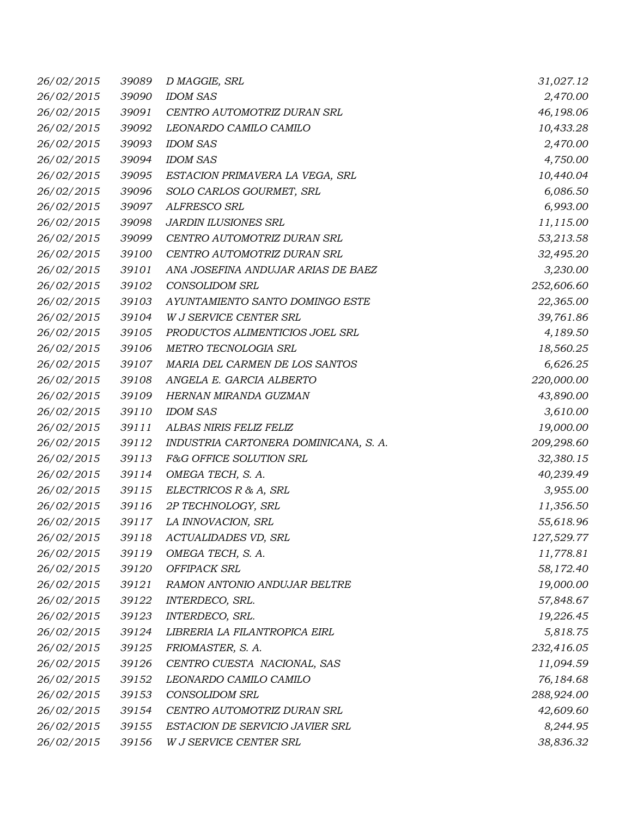| 26/02/2015 | 39089 | D MAGGIE, SRL                         | 31,027.12  |
|------------|-------|---------------------------------------|------------|
| 26/02/2015 | 39090 | <b>IDOM SAS</b>                       | 2,470.00   |
| 26/02/2015 | 39091 | CENTRO AUTOMOTRIZ DURAN SRL           | 46,198.06  |
| 26/02/2015 | 39092 | LEONARDO CAMILO CAMILO                | 10,433.28  |
| 26/02/2015 | 39093 | <b>IDOM SAS</b>                       | 2,470.00   |
| 26/02/2015 | 39094 | <b>IDOM SAS</b>                       | 4,750.00   |
| 26/02/2015 | 39095 | ESTACION PRIMAVERA LA VEGA, SRL       | 10,440.04  |
| 26/02/2015 | 39096 | SOLO CARLOS GOURMET, SRL              | 6,086.50   |
| 26/02/2015 | 39097 | ALFRESCO SRL                          | 6,993.00   |
| 26/02/2015 | 39098 | <b>JARDIN ILUSIONES SRL</b>           | 11,115.00  |
| 26/02/2015 | 39099 | CENTRO AUTOMOTRIZ DURAN SRL           | 53,213.58  |
| 26/02/2015 | 39100 | CENTRO AUTOMOTRIZ DURAN SRL           | 32,495.20  |
| 26/02/2015 | 39101 | ANA JOSEFINA ANDUJAR ARIAS DE BAEZ    | 3,230.00   |
| 26/02/2015 | 39102 | <b>CONSOLIDOM SRL</b>                 | 252,606.60 |
| 26/02/2015 | 39103 | AYUNTAMIENTO SANTO DOMINGO ESTE       | 22,365.00  |
| 26/02/2015 | 39104 | W J SERVICE CENTER SRL                | 39,761.86  |
| 26/02/2015 | 39105 | PRODUCTOS ALIMENTICIOS JOEL SRL       | 4,189.50   |
| 26/02/2015 | 39106 | METRO TECNOLOGIA SRL                  | 18,560.25  |
| 26/02/2015 | 39107 | MARIA DEL CARMEN DE LOS SANTOS        | 6,626.25   |
| 26/02/2015 | 39108 | ANGELA E. GARCIA ALBERTO              | 220,000.00 |
| 26/02/2015 | 39109 | HERNAN MIRANDA GUZMAN                 | 43,890.00  |
| 26/02/2015 | 39110 | <b>IDOM SAS</b>                       | 3,610.00   |
| 26/02/2015 | 39111 | ALBAS NIRIS FELIZ FELIZ               | 19,000.00  |
| 26/02/2015 | 39112 | INDUSTRIA CARTONERA DOMINICANA, S. A. | 209,298.60 |
| 26/02/2015 | 39113 | F&G OFFICE SOLUTION SRL               | 32,380.15  |
| 26/02/2015 | 39114 | OMEGA TECH, S. A.                     | 40,239.49  |
| 26/02/2015 | 39115 | ELECTRICOS R & A, SRL                 | 3,955.00   |
| 26/02/2015 | 39116 | 2P TECHNOLOGY, SRL                    | 11,356.50  |
| 26/02/2015 | 39117 | LA INNOVACION, SRL                    | 55,618.96  |
| 26/02/2015 | 39118 | ACTUALIDADES VD, SRL                  | 127,529.77 |
| 26/02/2015 | 39119 | OMEGA TECH, S. A.                     | 11,778.81  |
| 26/02/2015 | 39120 | OFFIPACK SRL                          | 58,172.40  |
| 26/02/2015 | 39121 | RAMON ANTONIO ANDUJAR BELTRE          | 19,000.00  |
| 26/02/2015 | 39122 | INTERDECO, SRL.                       | 57,848.67  |
| 26/02/2015 | 39123 | INTERDECO, SRL.                       | 19,226.45  |
| 26/02/2015 | 39124 | LIBRERIA LA FILANTROPICA EIRL         | 5,818.75   |
| 26/02/2015 | 39125 | FRIOMASTER, S. A.                     | 232,416.05 |
| 26/02/2015 | 39126 | CENTRO CUESTA NACIONAL, SAS           | 11,094.59  |
| 26/02/2015 | 39152 | LEONARDO CAMILO CAMILO                | 76,184.68  |
| 26/02/2015 | 39153 | <b>CONSOLIDOM SRL</b>                 | 288,924.00 |
| 26/02/2015 | 39154 | CENTRO AUTOMOTRIZ DURAN SRL           | 42,609.60  |
| 26/02/2015 | 39155 | ESTACION DE SERVICIO JAVIER SRL       | 8,244.95   |
| 26/02/2015 | 39156 | W J SERVICE CENTER SRL                | 38,836.32  |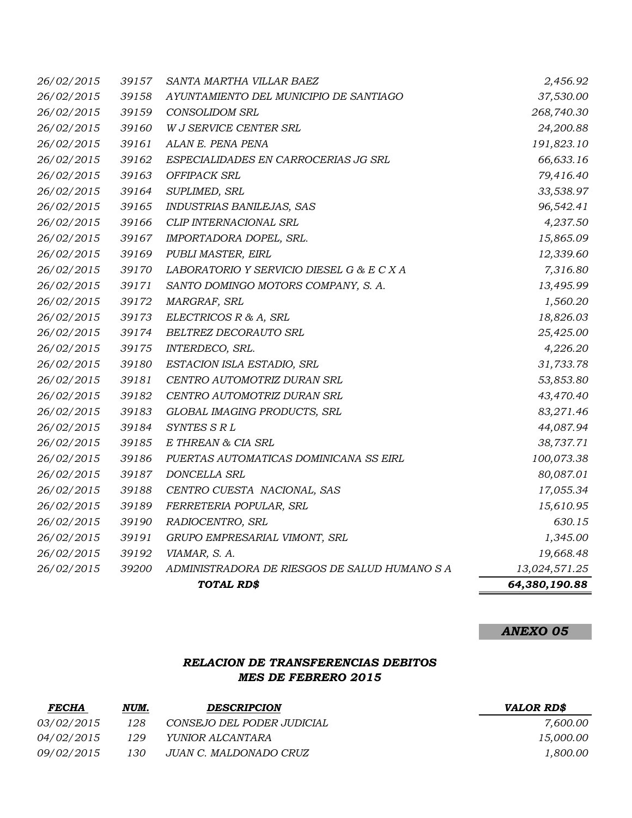|            |       | TOTAL RD\$                                    | 64,380,190.88 |
|------------|-------|-----------------------------------------------|---------------|
| 26/02/2015 | 39200 | ADMINISTRADORA DE RIESGOS DE SALUD HUMANO S A | 13,024,571.25 |
| 26/02/2015 | 39192 | VIAMAR, S. A.                                 | 19,668.48     |
| 26/02/2015 | 39191 | GRUPO EMPRESARIAL VIMONT, SRL                 | 1,345.00      |
| 26/02/2015 | 39190 | RADIOCENTRO, SRL                              | 630.15        |
| 26/02/2015 | 39189 | FERRETERIA POPULAR, SRL                       | 15,610.95     |
| 26/02/2015 | 39188 | CENTRO CUESTA NACIONAL, SAS                   | 17,055.34     |
| 26/02/2015 | 39187 | DONCELLA SRL                                  | 80,087.01     |
| 26/02/2015 | 39186 | PUERTAS AUTOMATICAS DOMINICANA SS EIRL        | 100,073.38    |
| 26/02/2015 | 39185 | E THREAN & CIA SRL                            | 38,737.71     |
| 26/02/2015 | 39184 | SYNTES S R L                                  | 44,087.94     |
| 26/02/2015 | 39183 | GLOBAL IMAGING PRODUCTS, SRL                  | 83,271.46     |
| 26/02/2015 | 39182 | CENTRO AUTOMOTRIZ DURAN SRL                   | 43,470.40     |
| 26/02/2015 | 39181 | CENTRO AUTOMOTRIZ DURAN SRL                   | 53,853.80     |
| 26/02/2015 | 39180 | ESTACION ISLA ESTADIO, SRL                    | 31,733.78     |
| 26/02/2015 | 39175 | INTERDECO, SRL.                               | 4,226.20      |
| 26/02/2015 | 39174 | BELTREZ DECORAUTO SRL                         | 25,425.00     |
| 26/02/2015 | 39173 | ELECTRICOS R & A, SRL                         | 18,826.03     |
| 26/02/2015 | 39172 | MARGRAF, SRL                                  | 1,560.20      |
| 26/02/2015 | 39171 | SANTO DOMINGO MOTORS COMPANY, S. A.           | 13,495.99     |
| 26/02/2015 | 39170 | LABORATORIO Y SERVICIO DIESEL G & E C X A     | 7,316.80      |
| 26/02/2015 | 39169 | PUBLI MASTER, EIRL                            | 12,339.60     |
| 26/02/2015 | 39167 | IMPORTADORA DOPEL, SRL.                       | 15,865.09     |
| 26/02/2015 | 39166 | CLIP INTERNACIONAL SRL                        | 4,237.50      |
| 26/02/2015 | 39165 | INDUSTRIAS BANILEJAS, SAS                     | 96,542.41     |
| 26/02/2015 | 39164 | SUPLIMED, SRL                                 | 33,538.97     |
| 26/02/2015 | 39163 | OFFIPACK SRL                                  | 79,416.40     |
| 26/02/2015 | 39162 | ESPECIALIDADES EN CARROCERIAS JG SRL          | 66,633.16     |
| 26/02/2015 | 39161 | ALAN E. PENA PENA                             | 191,823.10    |
| 26/02/2015 | 39160 | W J SERVICE CENTER SRL                        | 24,200.88     |
| 26/02/2015 | 39159 | <b>CONSOLIDOM SRL</b>                         | 268,740.30    |
| 26/02/2015 | 39158 | AYUNTAMIENTO DEL MUNICIPIO DE SANTIAGO        | 37,530.00     |
| 26/02/2015 | 39157 | SANTA MARTHA VILLAR BAEZ                      | 2,456.92      |

# *RELACION DE TRANSFERENCIAS DEBITOS MES DE FEBRERO 2015*

| <b>FECHA</b>      | NUM. | <b>DESCRIPCION</b>         | <i><b>VALOR RD\$</b></i> |
|-------------------|------|----------------------------|--------------------------|
| <i>03/02/2015</i> | 128  | CONSEJO DEL PODER JUDICIAL | 7.600.00                 |
| <i>04/02/2015</i> | 129  | <i>YUNIOR ALCANTARA</i>    | <i>15.000.00</i>         |
| <i>09/02/2015</i> | 130  | JUAN C. MALDONADO CRUZ     | 1.800.00                 |